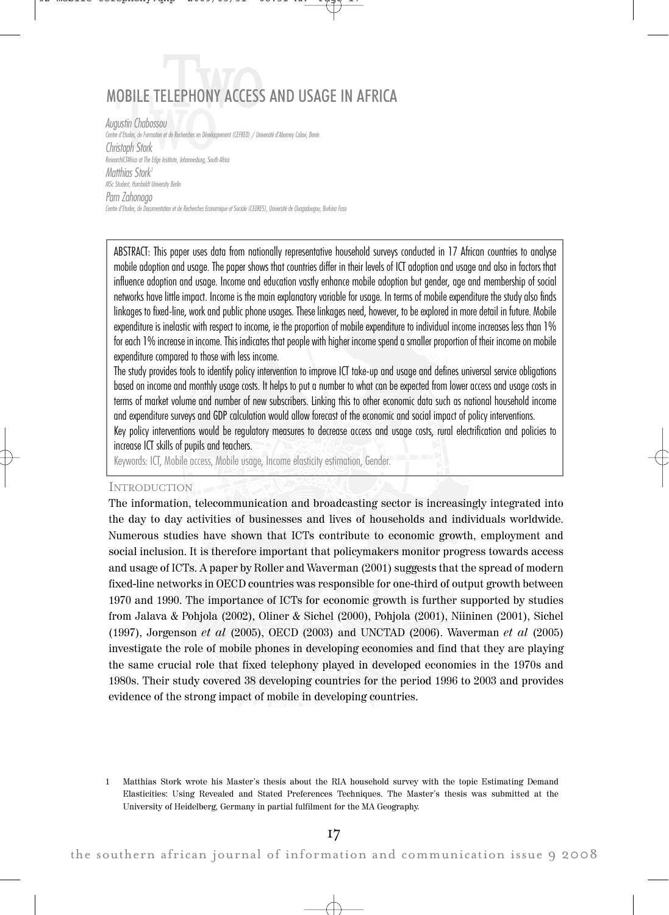# MOBILE TE ELEPHONY ACCESS AND USAGE IN AFRICA

US OF THE TELLET TELLET<br>USTIN Chabossou<br>If Etudes, de Formation et de Recherches en Dévelop<br>Stoph Stork Augustin Chabossou Centre d'Etudes, de Formation et de Recherches en Développement (CEFRED) / Université d'Abomey Calavi, Benin Christoph Stork ResearchICTAfrica at The Edge Institute, Johannesburg, South Africa Matthias Stork 1 MSc Student, Humboldt University Berlin Pam Zahonogo Centre d'Etudes, de Documentation et de Recherches Economique et Sociale (CEDRES), Université de Ouagadougou, Burkina Faso

ABSTRACT: This paper uses data from nationally representative household surveys conducted in 17 African countries to analyse mobile adoption and usage. The paper shows that countries differ in their levels of ICT adoption and usage and also in factors that influence adoption and usage. Income and education vastly enhance mobile adoption but gender, age and membership of social networks have little impact. Income is the main explanatory variable for usage. In terms of mobile expenditure the study also finds linkages to fixed-line, work and public phone usages. These linkages need, however, to be explored in more detail in future. Mobile expenditure is inelastic with respect to income, ie the proportion of mobile expenditure to individual income increases less than 1% for each 1% increase in income. This indicates that people with higher income spend a smaller proportion of their income on mobile expenditure compared to those with less income.

The study provides tools to identify policy intervention to improve ICT take-up and usage and defines universal service obligations based on income and monthly usage costs. It helps to put a number to what can be expected from lower access and usage costs in terms of market volume and number of new subscribers. Linking this to other economic data such as national household income and expenditure surveys and GDP calculation would allow forecast of the economic and social impact of policy interventions.

Key policy interventions would be regulatory measures to decrease access and usage costs, rural electrification and policies to increase ICT skills of pupils and teachers.

Keywords: ICT, Mobile access, Mobile usage, Income elasticity estimation, Gender.

#### INTRODUCTION

The information, telecommunication and broadcasting sector is increasingly integrated into the day to day activities of businesses and lives of households and individuals worldwide. Numerous studies have shown that ICTs contribute to economic growth, employment and social inclusion. It is therefore important that policymakers monitor progress towards access and usage of ICTs. A paper by Roller and Waverman (2001) suggests that the spread of modern fixed-line networks in OECD countries was responsible for one-third of output growth between 1970 and 1990. The importance of ICTs for economic growth is further supported by studies from Jalava & Pohjola (2002), Oliner & Sichel (2000), Pohjola (2001), Niininen (2001), Sichel (1997), Jorgenson et al  $(2005)$ , OECD  $(2003)$  and UNCTAD  $(2006)$ . Waverman et al  $(2005)$ investigate the role of mobile phones in developing economies and find that they are playing the same crucial role that fixed telephony played in developed economies in the 1970s and 1980s. Their study covered 38 developing countries for the period 1996 to 2003 and provides evidence of the strong impact of mobile in developing countries.

<sup>1</sup> Matthias Stork wrote his Master's thesis about the RIA household survey with the topic Estimating Demand Elasticities: Using Revealed and Stated Preferences Techniques. The Master's thesis was submitted at the University of Heidelberg, Germany in partial fulfilment for the MA Geography.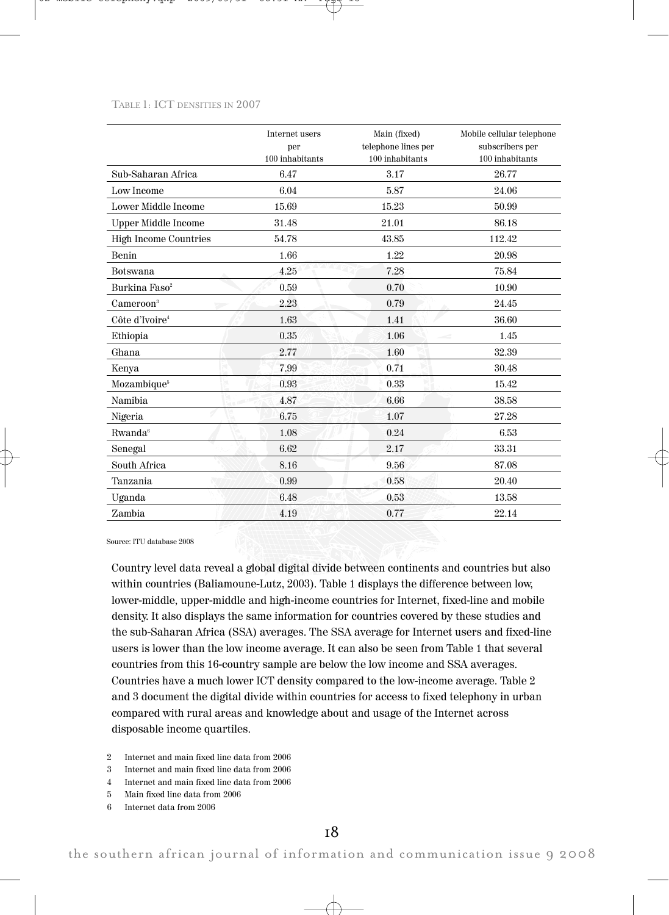#### TABLE 1: ICT DENSITIES IN 2007

|                                | Internet users<br>per | Main (fixed)<br>telephone lines per | Mobile cellular telephone<br>subscribers per |
|--------------------------------|-----------------------|-------------------------------------|----------------------------------------------|
|                                | 100 inhabitants       | 100 inhabitants                     | 100 inhabitants                              |
| Sub-Saharan Africa             | 6.47                  | 3.17                                | 26.77                                        |
| <b>Low Income</b>              | 6.04                  | 5.87                                | 24.06                                        |
| <b>Lower Middle Income</b>     | 15.69                 | 15.23                               | 50.99                                        |
| <b>Upper Middle Income</b>     | 31.48                 | 21.01                               | 86.18                                        |
| High Income Countries          | 54.78                 | 43.85                               | 112.42                                       |
| Benin                          | 1.66                  | 1.22                                | 20.98                                        |
| Botswana                       | 4.25                  | 7.28                                | 75.84                                        |
| Burkina Faso <sup>2</sup>      | 0.59                  | 0.70                                | 10.90                                        |
| $C$ ameroon <sup>3</sup><br>P. | 2.23                  | 0.79                                | 24.45                                        |
| Côte d'Ivoire <sup>4</sup>     | 1.63                  | 1.41                                | 36.60                                        |
| Ethiopia                       | 0.35                  | 1.06                                | 1.45                                         |
| Ghana                          | 2.77                  | 1.60                                | 32.39                                        |
| Kenya                          | 7.99                  | 0.71                                | 30.48                                        |
| Mozambique <sup>5</sup>        | 0.93                  | 0.33                                | 15.42                                        |
| Namibia.                       | 4.87                  | 6.66                                | 38.58                                        |
| Nigeria                        | 6.75                  | 1.07                                | 27.28                                        |
| Rwanda <sup>6</sup>            | 1.08                  | 0.24                                | 6.53                                         |
| Senegal                        | 6.62                  | 2.17                                | 33.31                                        |
| South Africa                   | 8.16                  | 9.56                                | 87.08                                        |
| Tanzania                       | 0.99                  | 0.58                                | 20.40                                        |
| Uganda                         | 6.48                  | 0.53                                | 13.58                                        |
| Zambia                         | 4.19                  | 0.77                                | 22.14                                        |

Source: ITU database 2008

Country level data reveal a global digital divide between continents and countries but also within countries (Baliamoune-Lutz, 2003). Table 1 displays the difference between low, lower-middle, upper-middle and high-income countries for Internet, fixed-line and mobile density. It also displays the same information for countries covered by these studies and the sub-Saharan Africa (SSA) averages. The SSA average for Internet users and fixed-line users is lower than the low income average. It can also be seen from Table 1 that several countries from this 16-country sample are below the low income and SSA averages. Countries have a much lower ICT density compared to the low-income average. Table 2 and 3 document the digital divide within countries for access to fixed telephony in urban compared with rural areas and knowledge about and usage of the Internet across disposable income quartiles.

- 2 Internet and main fixed line data from 2006
- 3 Internet and main fixed line data from 2006
- 4 Internet and main fixed line data from 2006
- 5 Main fixed line data from 2006
- 6 Internet data from 2006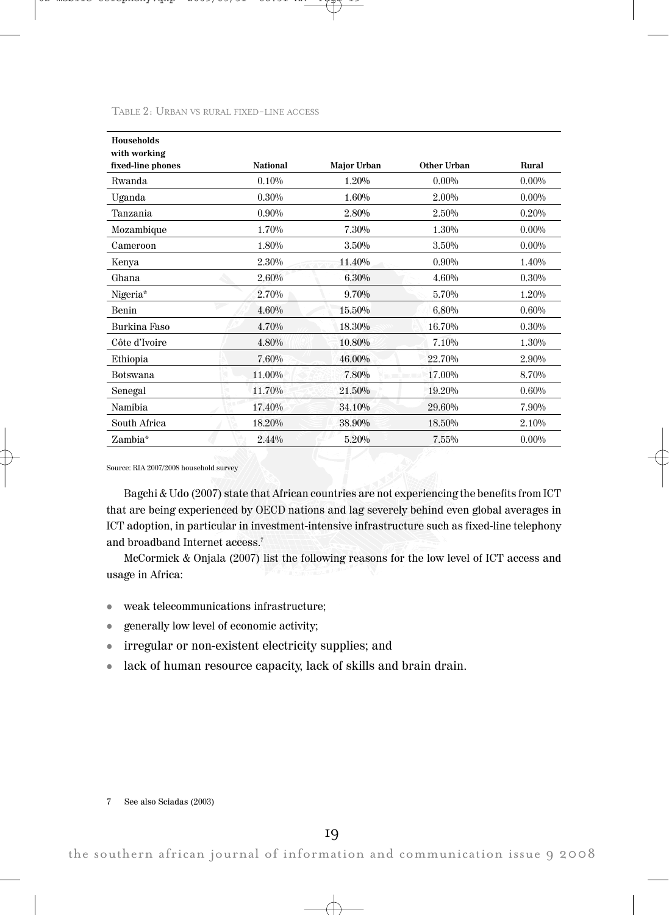TABLE 2: URBAN VS RURAL FIXED-LINE ACCESS

| <b>Households</b> |          |             |             |          |
|-------------------|----------|-------------|-------------|----------|
| with working      |          |             |             |          |
| fixed-line phones | National | Major Urban | Other Urban | Rural    |
| <b>Rwanda</b>     | 0.10%    | 1.20%       | $0.00\%$    | $0.00\%$ |
| Uganda            | $0.30\%$ | 1.60%       | 2.00%       | $0.00\%$ |
| Tanzania          | $0.90\%$ | 2.80%       | 2.50%       | 0.20%    |
| Mozambique        | 1.70%    | 7.30%       | 1.30%       | $0.00\%$ |
| Cameroon          | 1.80%    | 3.50%       | 3.50%       | $0.00\%$ |
| Kenya             | 2.30%    | 11.40%      | $0.90\%$    | 1.40%    |
| Ghana             | 2.60%    | 6.30%       | 4.60%       | 0.30%    |
| Nigeria*          | 2.70%    | 9.70%       | 5.70%       | 1.20%    |
| Benin             | 4.60%    | 15.50%      | 6.80%       | 0.60%    |
| Burkina Faso      | 4.70%    | 18.30%      | 16.70%      | 0.30%    |
| Côte d'Ivoire     | 4.80%    | 10.80%      | 7.10%       | 1.30%    |
| Ethiopia          | 7.60%    | 46.00%      | 22.70%      | 2.90%    |
| Botswana          | 11.00%   | 7.80%       | 17.00%      | 8.70%    |
| Senegal           | 11.70%   | 21.50%      | 19.20%      | 0.60%    |
| Namibia           | 17.40%   | 34.10%      | 29.60%      | 7.90%    |
| South Africa      | 18.20%   | 38.90%      | 18.50%      | 2.10%    |
| Zambia*           | 2.44%    | 5.20%       | 7.55%       | $0.00\%$ |
|                   |          |             |             |          |

Source: RIA 2007/2008 household survey

Bagchi & Udo (2007) state that African countries are not experiencing the benefits from ICT that are being experienced by OECD nations and lag severely behind even global averages in ICT adoption, in particular in investment-intensive infrastructure such as fixed-line telephony and broadband Internet access. 7

McCormick & Onjala (2007) list the following reasons for the low level of ICT access and usage in Africa:

- $\bullet$  weak telecommunications infrastructure;
- ! generally low level of economic activity;
- ! irregular or non-existent electricity supplies; and
- ! lack of human resource capacity, lack of skills and brain drain.

7 See also Sciadas (2003)

the southern african journal of information and communication issue 9 2008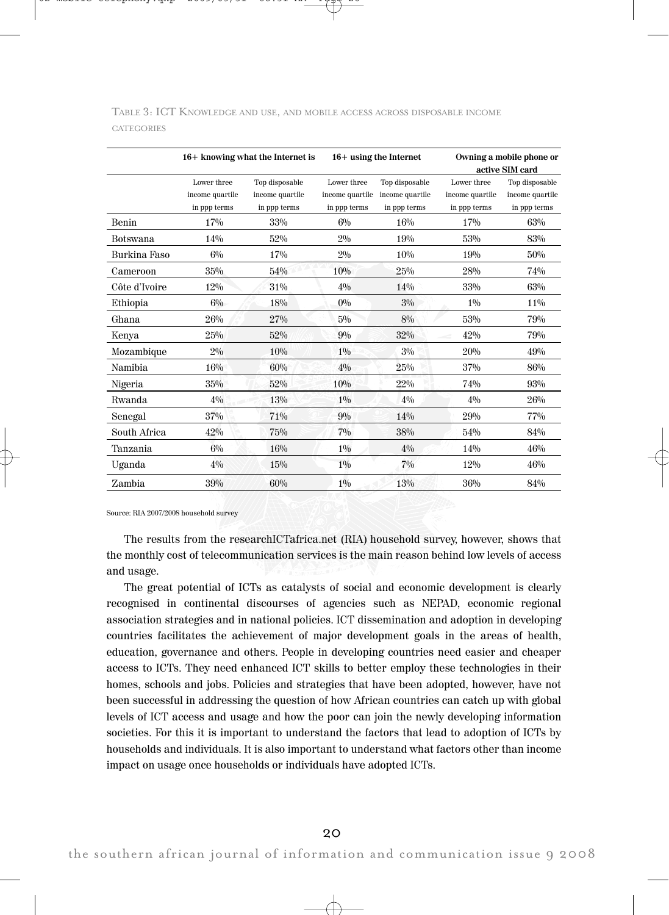|                 |                 | 16+ knowing what the Internet is |                 | $16+$ using the Internet | Owning a mobile phone or<br>active SIM card |                 |  |
|-----------------|-----------------|----------------------------------|-----------------|--------------------------|---------------------------------------------|-----------------|--|
|                 | Lower three     | Top disposable                   | Lower three     | Top disposable           | Lower three                                 | Top disposable  |  |
|                 | income quartile | income quartile                  | income quartile | income quartile          | income quartile                             | income quartile |  |
|                 | in ppp terms    | in ppp terms                     | in ppp terms    | in ppp terms             | in ppp terms                                | in ppp terms    |  |
| <b>Benin</b>    | 17%             | 33%                              | $6\%$           | 16%                      | 17%                                         | 63%             |  |
| <b>Botswana</b> | 14%             | 52%                              | $2\%$           | 19%                      | 53%                                         | 83%             |  |
| Burkina Faso    | $6\%$           | 17%                              | $2\%$           | 10%                      | 19%                                         | 50%             |  |
| Cameroon        | 35%             | 54%                              | 10%             | 25%                      | 28%                                         | 74%             |  |
| Côte d'Ivoire   | $12\%$          | 31%                              | $4\%$           | 14%                      | 33%                                         | 63%             |  |
| Ethiopia        | $6\%$           | 18%                              | $0\%$           | $3\%$                    | $1\%$                                       | 11%             |  |
| Ghana           | 26%             | 27%                              | $5\%$           | 8%                       | 53%                                         | 79%             |  |
| Kenya           | 25%             | 52%                              | 90/0            | 32%                      | 42%                                         | 79%             |  |
| Mozambique      | $2\%$           | 10%                              | $1\%$           | $3\%$                    | 20%                                         | 49%             |  |
| <b>Namibia</b>  | 16%             | 60%                              | $4\%$           | 25%                      | 37%                                         | 86%             |  |
| Nigeria         | 35%             | 52%                              | 10%             | 22%                      | 74%                                         | 93%             |  |
| Rwanda          | $4\%$           | 13%                              | 10/0            | $4\%$                    | 4%                                          | 26%             |  |
| Senegal         | 37%             | 71%                              | $9\%$           | 14%                      | 29%                                         | 77%             |  |
| South Africa    | 42%             | 75%                              | 70/0            | 38%                      | 54%                                         | 84%             |  |
| Tanzania        | $6\%$           | 16%                              | $1\%$           | $4\%$                    | 14%                                         | 46%             |  |
| Uganda          | $4\%$           | 15%                              | $1\%$           | $7\%$                    | 12%                                         | 46%             |  |
| Zambia          | 39%             | 60%                              | $1\%$           | 13%                      | 36%                                         | 84%             |  |

TABLE 3: ICT KNOWLEDGE AND USE, AND MOBILE ACCESS ACROSS DISPOSABLE INCOME **CATEGORIES** 

Source: RIA 2007/2008 household survey

The results from the researchICTafrica.net (RIA) household survey, however, shows that the monthly cost of telecommunication services is the main reason behind low levels of access and usage.

The great potential of ICTs as catalysts of social and economic development is clearly recognised in continental discourses of agencies such as NEPAD, economic regional association strategies and in national policies. ICT dissemination and adoption in developing countries facilitates the achievement of major development goals in the areas of health, education, governance and others. People in developing countries need easier and cheaper access to ICTs. They need enhanced ICT skills to better employ these technologies in their homes, schools and jobs. Policies and strategies that have been adopted, however, have not been successful in addressing the question of how African countries can catch up with global levels of ICT access and usage and how the poor can join the newly developing information societies. For this it is important to understand the factors that lead to adoption of ICTs by households and individuals. It is also important to understand what factors other than income impact on usage once households or individuals have adopted ICTs.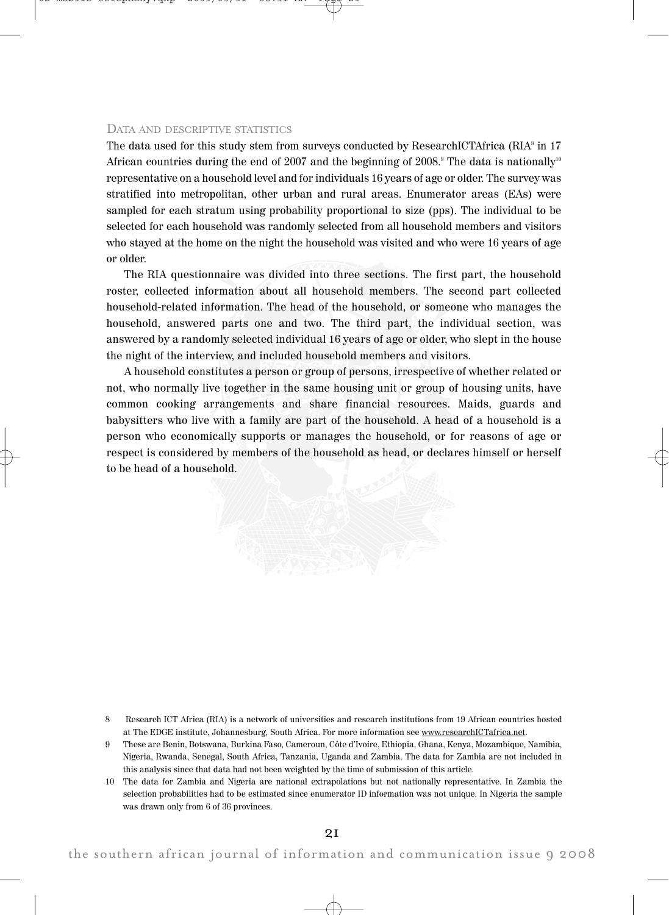## DATA AND DESCRIPTIVE STATISTICS

The data used for this study stem from surveys conducted by ResearchICTAfrica (RIA $\delta$  in 17 African countries during the end of 2007 and the beginning of 2008." The data is nationally'' representative on a household level and for individuals 16 years of age or older. The survey was stratified into metropolitan, other urban and rural areas. Enumerator areas (EAs) were sampled for each stratum using probability proportional to size (pps). The individual to be selected for each household was randomly selected from all household members and visitors who stayed at the home on the night the household was visited and who were 16 years of age or older.

The RIA questionnaire was divided into three sections. The first part, the household roster, collected information about all household members. The second part collected household-related information. The head of the household, or someone who manages the household, answered parts one and two. The third part, the individual section, was answered by a randomly selected individual 16 years of age or older, who slept in the house the night of the interview, and included household members and visitors.

A household constitutes a person or group of persons, irrespective of whether related or not, who normally live together in the same housing unit or group of housing units, have common cooking arrangements and share financial resources. Maids, guards and babysitters who live with a family are part of the household. A head of a household is a person who economically supports or manages the household, or for reasons of age or respect is considered by members of the household as head, or declares himself or herself to be head of a household.

- 8 Research ICT Africa (RIA) is a network of universities and research institutions from 19 African countries hosted at The EDGE institute, Johannesburg, South Africa. For more information see www.researchICTafrica.net.
- 9 These are Benin, Botswana, Burkina Faso, Cameroun, Côte d'Ivoire, Ethiopia, Ghana, Kenya, Mozambique, Namibia, Nigeria, Rwanda, Senegal, South Africa, Tanzania, Uganda and Zambia. The data for Zambia are not included in this analysis since that data had not been weighted by the time of submission of this article.
- 10 The data for Zambia and Nigeria are national extrapolations but not nationally representative. In Zambia the selection probabilities had to be estimated since enumerator ID information was not unique. In Nigeria the sample was drawn only from 6 of 36 provinces.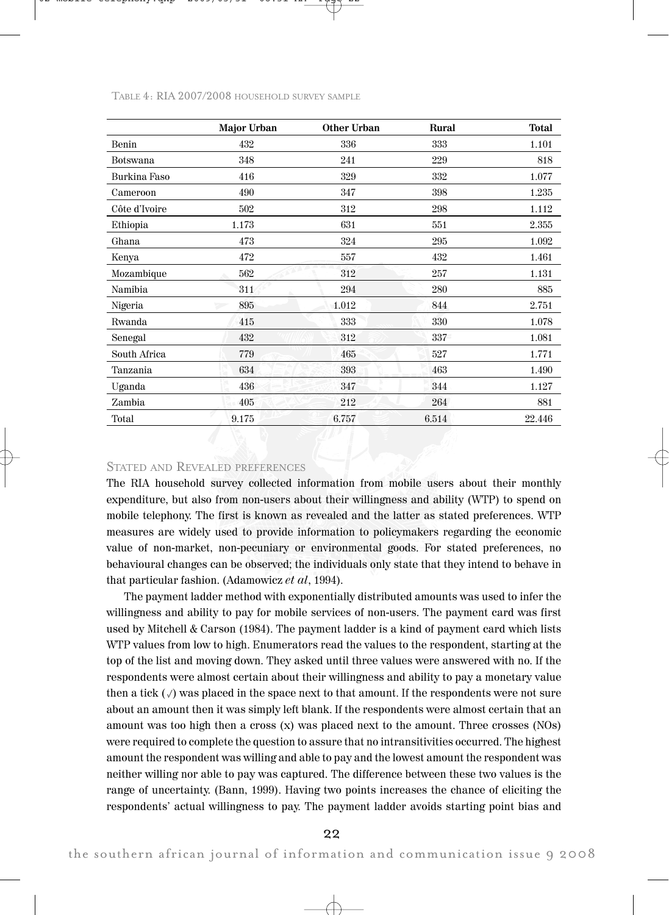|                 | <b>Major Urban</b> | Other Urban | Rural | <b>Total</b> |
|-----------------|--------------------|-------------|-------|--------------|
| Benin           | 432                | 336         | 333   | 1.101        |
| <b>Botswana</b> | 348                | 241         | 229   | 818          |
| Burkina Faso    | 416                | 329         | 332   | 1.077        |
| Cameroon        | 490                | 347         | 398   | 1.235        |
| Côte d'Ivoire   | 502                | 312         | 298   | 1.112        |
| Ethiopia        | 1.173              | 631         | 551   | 2.355        |
| Ghana           | 473                | 324         | 295   | 1.092        |
| Kenya           | 472                | 557         | 432   | 1.461        |
| Mozambique      | 562                | 312         | 257   | 1.131        |
| Namibia         | 311                | 294         | 280   | 885          |
| Nigeria         | 895<br>2           | 1.012       | 844   | 2.751        |
| Rwanda          | 415                | 333         | 330   | 1.078        |
| Senegal         | 432                | 312         | 337   | 1.081        |
| South Africa    | 779                | 465         | 527   | 1.771        |
| Tanzania        | 634                | 393         | 463   | 1.490        |
| Uganda          | 436                | 347         | 344   | 1.127        |
| Zambia          | 405                | 212         | 264   | 881          |
| Total           | 9.175              | 6.757       | 6.514 | 22.446       |

TABLE 4: RIA 2007/2008 HOUSEHOLD SURVEY SAMPLE

## STATED AND REVEALED PREFERENCES

The RIA household survey collected information from mobile users about their monthly expenditure, but also from non-users about their willingness and ability (WTP) to spend on mobile telephony. The first is known as revealed and the latter as stated preferences. WTP measures are widely used to provide information to policymakers regarding the economic value of non-market, non-pecuniary or environmental goods. For stated preferences, no behavioural changes can be observed; the individuals only state that they intend to behave in that particular fashion. (Adamowicz et al, 1994).

The payment ladder method with exponentially distributed amounts was used to infer the willingness and ability to pay for mobile services of non-users. The payment card was first used by Mitchell & Carson (1984). The payment ladder is a kind of payment card which lists WTP values from low to high. Enumerators read the values to the respondent, starting at the top of the list and moving down. They asked until three values were answered with no. If the respondents were almost certain about their willingness and ability to pay a monetary value then a tick  $(\sqrt{})$  was placed in the space next to that amount. If the respondents were not sure about an amount then it was simply left blank. If the respondents were almost certain that an amount was too high then a cross (x) was placed next to the amount. Three crosses (NOs) were required to complete the question to assure that no intransitivities occurred. The highest amount the respondent was willing and able to pay and the lowest amount the respondent was neither willing nor able to pay was captured. The difference between these two values is the range of uncertainty. (Bann, 1999). Having two points increases the chance of eliciting the respondents' actual willingness to pay. The payment ladder avoids starting point bias and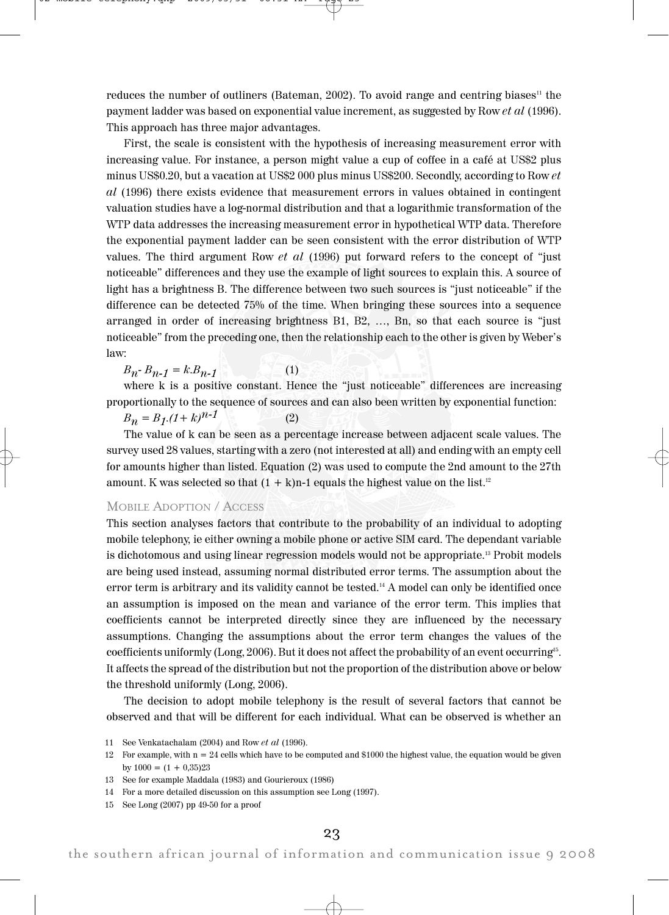reduces the number of outliners (Bateman,  $2002$ ). To avoid range and centring biases<sup>11</sup> the payment ladder was based on exponential value increment, as suggested by Row et al (1996). This approach has three major advantages.

First, the scale is consistent with the hypothesis of increasing measurement error with increasing value. For instance, a person might value a cup of coffee in a café at US\$2 plus minus US\$0.20, but a vacation at US\$2 000 plus minus US\$200. Secondly, according to Row et al (1996) there exists evidence that measurement errors in values obtained in contingent valuation studies have a log-normal distribution and that a logarithmic transformation of the WTP data addresses the increasing measurement error in hypothetical WTP data. Therefore the exponential payment ladder can be seen consistent with the error distribution of WTP values. The third argument Row *et al* (1996) put forward refers to the concept of "just noticeable" differences and they use the example of light sources to explain this. A source of light has a brightness B. The difference between two such sources is "just noticeable" if the difference can be detected 75% of the time. When bringing these sources into a sequence arranged in order of increasing brightness B1, B2, …, Bn, so that each source is "just noticeable" from the preceding one, then the relationship each to the other is given by Weber's law:

 $B_n - B_{n-1} = k.B_{n-1}$  (1)

where k is a positive constant. Hence the "just noticeable" differences are increasing proportionally to the sequence of sources and can also been written by exponential function:

 $B_n = B_1(1+k)^{n-1}$  (2)

The value of k can be seen as a percentage increase between adjacent scale values. The survey used 28 values, starting with a zero (not interested at all) and ending with an empty cell for amounts higher than listed. Equation (2) was used to compute the 2nd amount to the 27th amount. K was selected so that  $(1 + k)n-1$  equals the highest value on the list.<sup>12</sup>

## MOBILE ADOPTION / ACCESS

This section analyses factors that contribute to the probability of an individual to adopting mobile telephony, ie either owning a mobile phone or active SIM card. The dependant variable is dichotomous and using linear regression models would not be appropriate.13 Probit models are being used instead, assuming normal distributed error terms. The assumption about the error term is arbitrary and its validity cannot be tested. <sup>14</sup> A model can only be identified once an assumption is imposed on the mean and variance of the error term. This implies that coefficients cannot be interpreted directly since they are influenced by the necessary assumptions. Changing the assumptions about the error term changes the values of the coefficients uniformly (Long, 2006). But it does not affect the probability of an event occurring $^{\scriptscriptstyle 15}$ . It affects the spread of the distribution but not the proportion of the distribution above or below the threshold uniformly (Long, 2006).

The decision to adopt mobile telephony is the result of several factors that cannot be observed and that will be different for each individual. What can be observed is whether an

11 See Venkatachalam (2004) and Row et al (1996).

15 See Long (2007) pp 49-50 for a proof

<sup>12</sup> For example, with  $n = 24$  cells which have to be computed and \$1000 the highest value, the equation would be given by  $1000 = (1 + 0.35)23$ 

<sup>13</sup> See for example Maddala (1983) and Gourieroux (1986)

<sup>14</sup> For a more detailed discussion on this assumption see Long (1997).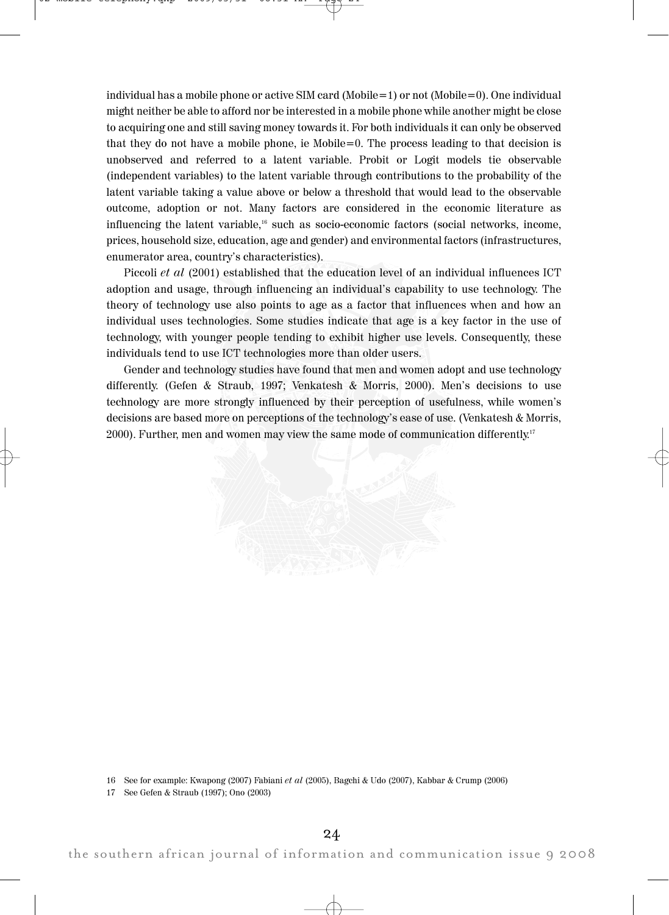individual has a mobile phone or active SIM card (Mobile=1) or not (Mobile=0). One individual might neither be able to afford nor be interested in a mobile phone while another might be close to acquiring one and still saving money towards it. For both individuals it can only be observed that they do not have a mobile phone, ie Mobile=0. The process leading to that decision is unobserved and referred to a latent variable. Probit or Logit models tie observable (independent variables) to the latent variable through contributions to the probability of the latent variable taking a value above or below a threshold that would lead to the observable outcome, adoption or not. Many factors are considered in the economic literature as influencing the latent variable, <sup>16</sup> such as socio-economic factors (social networks, income, prices, household size, education, age and gender) and environmental factors (infrastructures, enumerator area, country's characteristics).

Piccoli et al (2001) established that the education level of an individual influences ICT adoption and usage, through influencing an individual's capability to use technology. The theory of technology use also points to age as a factor that influences when and how an individual uses technologies. Some studies indicate that age is a key factor in the use of technology, with younger people tending to exhibit higher use levels. Consequently, these individuals tend to use ICT technologies more than older users.

Gender and technology studies have found that men and women adopt and use technology differently. (Gefen & Straub, 1997; Venkatesh & Morris, 2000). Men's decisions to use technology are more strongly influenced by their perception of usefulness, while women's decisions are based more on perceptions of the technology's ease of use. (Venkatesh & Morris, 2000). Further, men and women may view the same mode of communication differently. $^{\scriptscriptstyle 17}$ 



16 See for example: Kwapong (2007) Fabiani et al (2005), Bagchi & Udo (2007), Kabbar & Crump (2006)

17 See Gefen & Straub (1997); Ono (2003)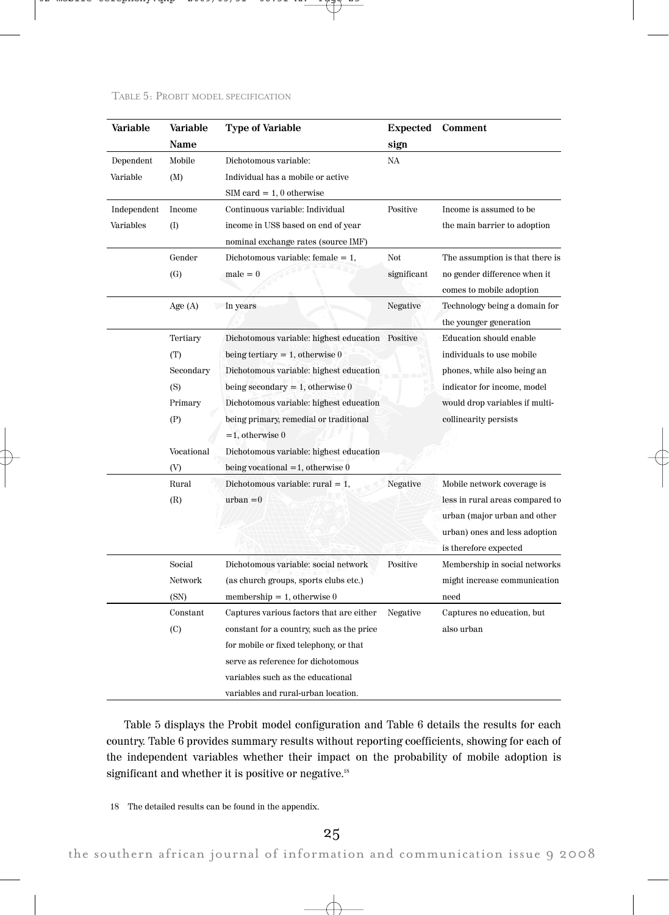| Variable    | Variable   | Type of Variable                                 | <b>Expected</b> | Comment                         |
|-------------|------------|--------------------------------------------------|-----------------|---------------------------------|
|             | Name       |                                                  | sign            |                                 |
| Dependent   | Mobile     | Dichotomous variable:                            | NA              |                                 |
| Variable    | (M)        | Individual has a mobile or active                |                 |                                 |
|             |            | $SIM card = 1, 0 otherwise$                      |                 |                                 |
| Independent | Income     | Continuous variable: Individual                  | Positive        | Income is assumed to be         |
| Variables   | (I)        | income in US\$ based on end of year              |                 | the main barrier to adoption    |
|             |            | nominal exchange rates (source IMF)              |                 |                                 |
|             | Gender     | Dichotomous variable: female $= 1$ ,             | Not             | The assumption is that there is |
|             | (G)        | $male = 0$                                       | significant     | no gender difference when it    |
|             |            |                                                  |                 | comes to mobile adoption        |
|             | Age $(A)$  | In years                                         | Negative        | Technology being a domain for   |
|             |            |                                                  |                 | the younger generation          |
|             | Tertiary   | Dichotomous variable: highest education Positive |                 | Education should enable         |
|             | (T)        | being tertiary $= 1$ , otherwise 0               |                 | individuals to use mobile       |
|             | Secondary  | Dichotomous variable: highest education          |                 | phones, while also being an     |
|             | (S)        | being secondary $= 1$ , otherwise 0              |                 | indicator for income, model     |
|             | Primary    | Dichotomous variable: highest education          |                 | would drop variables if multi-  |
|             | (P)        | being primary, remedial or traditional           |                 | collinearity persists           |
|             |            | $=1$ , otherwise 0                               |                 |                                 |
|             | Vocational | Dichotomous variable: highest education          |                 |                                 |
|             | (V)        | being vocational $=1$ , otherwise 0              |                 |                                 |
|             | Rural      | Dichotomous variable: rural $= 1$ ,              | Negative        | Mobile network coverage is      |
|             | (R)        | $urban = 0$                                      |                 | less in rural areas compared to |
|             |            |                                                  |                 | urban (major urban and other    |
|             |            |                                                  |                 | urban) ones and less adoption   |
|             |            |                                                  |                 | is therefore expected           |
|             | Social     | Dichotomous variable: social network             | Positive        | Membership in social networks   |
|             | Network    | (as church groups, sports clubs etc.)            |                 | might increase communication    |
|             | (SN)       | membership $= 1$ , otherwise 0                   |                 | need                            |
|             | Constant   | Captures various factors that are either         | Negative        | Captures no education, but      |
|             | (C)        | constant for a country, such as the price        |                 | also urban                      |
|             |            | for mobile or fixed telephony, or that           |                 |                                 |
|             |            | serve as reference for dichotomous               |                 |                                 |
|             |            | variables such as the educational                |                 |                                 |
|             |            | variables and rural-urban location.              |                 |                                 |

## TABLE 5: PROBIT MODEL SPECIFICATION

Table 5 displays the Probit model configuration and Table 6 details the results for each country. Table 6 provides summary results without reporting coefficients, showing for each of the independent variables whether their impact on the probability of mobile adoption is significant and whether it is positive or negative.<sup>18</sup>

18 The detailed results can be found in the appendix.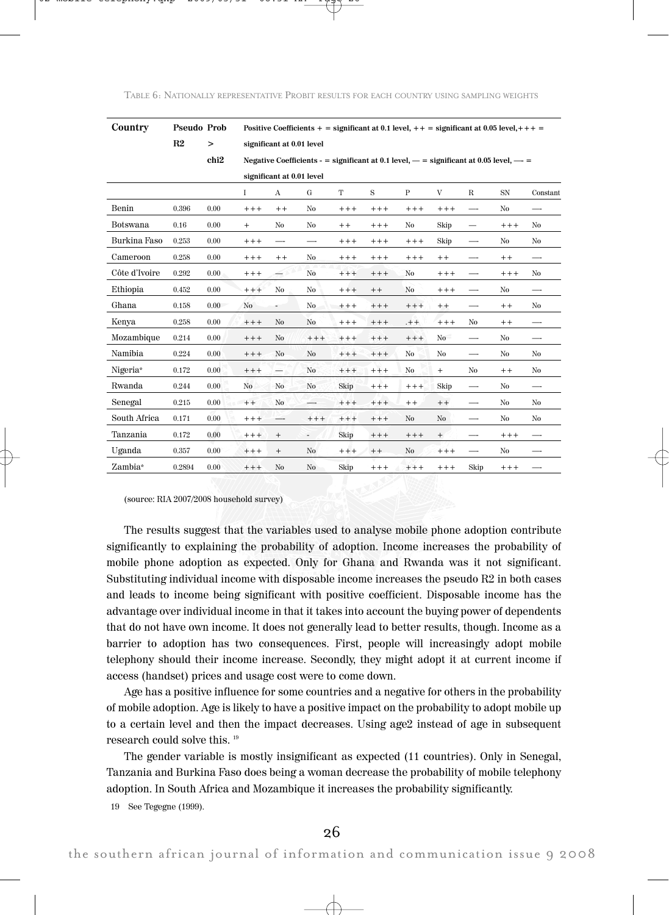| Country       | Pseudo Prob | Positive Coefficients + = significant at 0.1 level, + + = significant at 0.05 level, + + + = |        |                           |                |        |                                                                                            |                |         |             |           |          |
|---------------|-------------|----------------------------------------------------------------------------------------------|--------|---------------------------|----------------|--------|--------------------------------------------------------------------------------------------|----------------|---------|-------------|-----------|----------|
|               | R2          | $\, > \,$                                                                                    |        | significant at 0.01 level |                |        |                                                                                            |                |         |             |           |          |
|               |             | chi <sub>2</sub>                                                                             |        |                           |                |        | Negative Coefficients - = significant at 0.1 level, $-$ = significant at 0.05 level, $-$ = |                |         |             |           |          |
|               |             |                                                                                              |        | significant at 0.01 level |                |        |                                                                                            |                |         |             |           |          |
|               |             |                                                                                              | Ι      | $\mathbf{A}$              | G              | T      | S                                                                                          | $\mathbf{P}$   | V       | $\mathbf R$ | <b>SN</b> | Constant |
| Benin         | 0.396       | 0.00                                                                                         | $+++$  | $+ +$                     | No             | $+++$  | $+++$                                                                                      | $+++$          | $+++$   | —           | No        | -        |
| Botswana      | 0.16        | 0.00                                                                                         | $+$    | No                        | No             | $+ +$  | $++++$                                                                                     | No             | Skip    | —           | $++++$    | No       |
| Burkina Faso  | 0.253       | 0.00                                                                                         | $++++$ | —-                        | —              | $++++$ | $++++$                                                                                     | $++++$         | Skip    | —-          | No        | No       |
| Cameroon      | 0.258       | 0.00                                                                                         | $++++$ | $++$                      | No             | $++++$ | $++++$                                                                                     | $++++$         | $+ +$   |             | $+ +$     |          |
| Côte d'Ivoire | 0.292       | 0.00                                                                                         | $++++$ | $\overline{\phantom{0}}$  | No             | $+++$  | $++++$                                                                                     | No             | $++++$  | —           | $++++$    | No       |
| Ethiopia      | 0.452       | 0.00                                                                                         | $++++$ | No                        | No             | $+++$  | $+ +$                                                                                      | No             | $++++$  | —           | No        |          |
| Ghana         | 0.158       | 0.00                                                                                         | No     | ٠                         | No             | $++++$ | $++++$                                                                                     | $++++$         | $+ +$   | —           | $+ +$     | No       |
| Kenya         | 0.258       | 0.00                                                                                         | $++++$ | No                        | No             | $++++$ | $++++$                                                                                     | $. + +$        | $++++$  | No.         | $+ +$     |          |
| Mozambique    | 0.214       | 0.00                                                                                         | $++++$ | No                        | $++++$         | $+++$  | $+++$                                                                                      | $++++$         | No      | —           | No        | —        |
| Namibia       | 0.224       | 0.00                                                                                         | $++++$ | No                        | No             | $+++$  | $+++$                                                                                      | No             | No      | —           | No        | No       |
| Nigeria*      | 0.172       | 0.00                                                                                         | $++++$ | —                         | No             | $++++$ | $++++$                                                                                     | No             | $+$     | No          | $+ +$     | No       |
| Rwanda        | 0.244       | 0.00                                                                                         | No     | No                        | No             | Skip   | $+++$                                                                                      | $+++$          | Skip    | --          | No        | —        |
| Senegal       | 0.215       | 0.00                                                                                         | $++$   | No                        |                | $+++$  | $+++$                                                                                      | $+ +$          | $+ +$   | —-          | No        | No       |
| South Africa  | 0.171       | 0.00                                                                                         | $++++$ | —-                        | $+++$          | $++++$ | $+++$                                                                                      | No             | No      | —-          | No        | No       |
| Tanzania      | 0.172       | 0.00                                                                                         | $+++$  | $\! + \!\!\!\!$           | $\frac{1}{2}$  | Skip   | $++++$                                                                                     | $++++$         | $^{+}$  |             | $++++$    |          |
| Uganda        | 0.357       | 0.00                                                                                         | $+++$  | $\! + \!\!\!\!$           | N <sub>o</sub> | $++++$ | $+ +$                                                                                      | N <sub>o</sub> | $+ + +$ | —           | No        |          |
| Zambia*       | 0.2894      | 0.00                                                                                         | $+++$  | No                        | No             | Skip   | $+++$                                                                                      | $++ +$         | $++++$  | Skip        | $++++$    |          |

(source: RIA 2007/2008 household survey)

The results suggest that the variables used to analyse mobile phone adoption contribute significantly to explaining the probability of adoption. Income increases the probability of mobile phone adoption as expected. Only for Ghana and Rwanda was it not significant. Substituting individual income with disposable income increases the pseudo R2 in both cases and leads to income being significant with positive coefficient. Disposable income has the advantage over individual income in that it takes into account the buying power of dependents that do not have own income. It does not generally lead to better results, though. Income as a barrier to adoption has two consequences. First, people will increasingly adopt mobile telephony should their income increase. Secondly, they might adopt it at current income if access (handset) prices and usage cost were to come down.

Age has a positive influence for some countries and a negative for others in the probability of mobile adoption. Age is likely to have a positive impact on the probability to adopt mobile up to a certain level and then the impact decreases. Using age2 instead of age in subsequent research could solve this. 19

The gender variable is mostly insignificant as expected (11 countries). Only in Senegal, Tanzania and Burkina Faso does being a woman decrease the probability of mobile telephony adoption. In South Africa and Mozambique it increases the probability significantly.

19 See Tegegne (1999).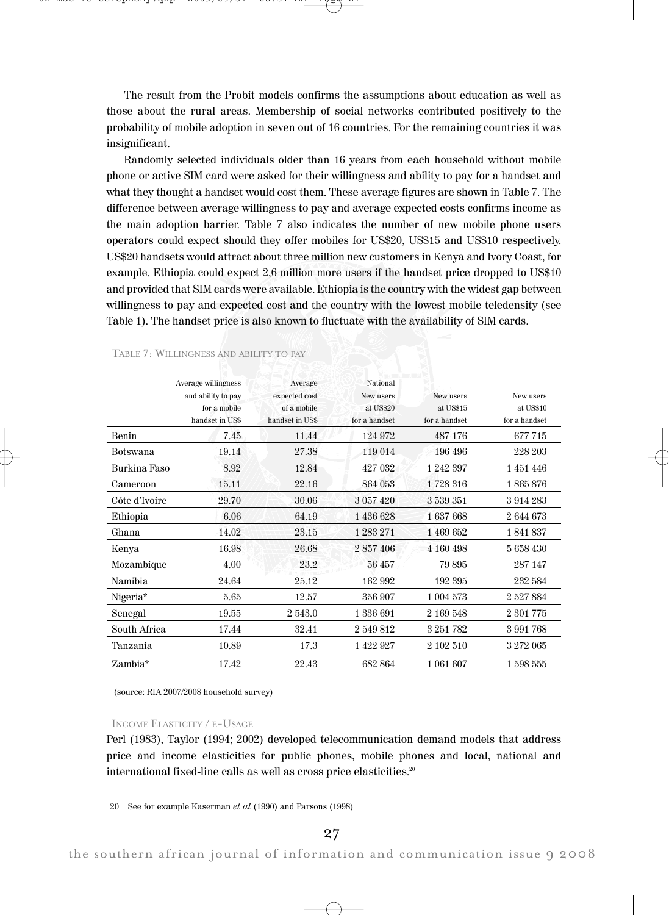The result from the Probit models confirms the assumptions about education as well as those about the rural areas. Membership of social networks contributed positively to the probability of mobile adoption in seven out of 16 countries. For the remaining countries it was insignificant.

Randomly selected individuals older than 16 years from each household without mobile phone or active SIM card were asked for their willingness and ability to pay for a handset and what they thought a handset would cost them. These average figures are shown in Table 7. The difference between average willingness to pay and average expected costs confirms income as the main adoption barrier. Table 7 also indicates the number of new mobile phone users operators could expect should they offer mobiles for US\$20, US\$15 and US\$10 respectively. US\$20 handsets would attract about three million new customers in Kenya and Ivory Coast, for example. Ethiopia could expect 2,6 million more users if the handset price dropped to US\$10 and provided that SIM cards were available. Ethiopia is the country with the widest gap between willingness to pay and expected cost and the country with the lowest mobile teledensity (see Table 1). The handset price is also known to fluctuate with the availability of SIM cards.

|                 | Average willingness<br>and ability to pay<br>for a mobile<br>handset in US\$ | Average<br>expected cost<br>of a mobile<br>handset in US\$ | <b>National</b><br>New users<br>at US\$20<br>for a handset | New users<br>at US\$15<br>for a handset | New users<br>at US\$10<br>for a handset |
|-----------------|------------------------------------------------------------------------------|------------------------------------------------------------|------------------------------------------------------------|-----------------------------------------|-----------------------------------------|
| Benin           | 7.45                                                                         | 11.44                                                      | 124 972                                                    | 487 176                                 | 677 715                                 |
| <b>Botswana</b> | 19.14                                                                        | 27.38                                                      | 119 014                                                    | 196 496                                 | 228 203                                 |
| Burkina Faso    | 8.92                                                                         | 12.84                                                      | 427 032                                                    | 1 242 397                               | 1451446                                 |
| Cameroon        | 15.11                                                                        | 22.16                                                      | 864 053                                                    | 1728 316                                | 1865876                                 |
| Côte d'Ivoire   | 29.70                                                                        | 30.06                                                      | 3 057 420                                                  | 3 539 351                               | 3914283                                 |
| Ethiopia        | 6.06                                                                         | 64.19                                                      | 1 436 628                                                  | 1637668                                 | 2 644 673                               |
| Ghana           | 14.02                                                                        | 23.15                                                      | 1283271                                                    | 1 469 652                               | 1841837                                 |
| Kenya           | 16.98                                                                        | 26.68                                                      | 2857406                                                    | 4 160 498                               | 5 658 430                               |
| Mozambique      | 4.00                                                                         | 23.2                                                       | 56457                                                      | 79895                                   | 287 147                                 |
| <b>Namibia</b>  | 24.64                                                                        | 25.12                                                      | 162 992                                                    | 192 395                                 | 232 584                                 |
| Nigeria*        | 5.65                                                                         | 12.57                                                      | 356 907                                                    | 1 004 573                               | 2 527 884                               |
| Senegal         | 19.55                                                                        | 2 543.0                                                    | 1 336 691                                                  | 2 169 548                               | 2 301 775                               |
| South Africa    | 17.44                                                                        | 32.41                                                      | 2 549 812                                                  | 3 251 782                               | 3991768                                 |
| Tanzania        | 10.89                                                                        | 17.3                                                       | 1 422 927                                                  | 2 102 510                               | 3 272 065                               |
| Zambia*         | 17.42                                                                        | 22.43                                                      | 682 864                                                    | 1 061 607                               | 1598555                                 |

TABLE 7: WILLINGNESS AND ABILITY TO PAY

(source: RIA 2007/2008 household survey)

## INCOME ELASTICITY / E-USAGE

Perl (1983), Taylor (1994; 2002) developed telecommunication demand models that address price and income elasticities for public phones, mobile phones and local, national and international fixed-line calls as well as cross price elasticities.<sup>20</sup>

20 See for example Kaserman et al (1990) and Parsons (1998)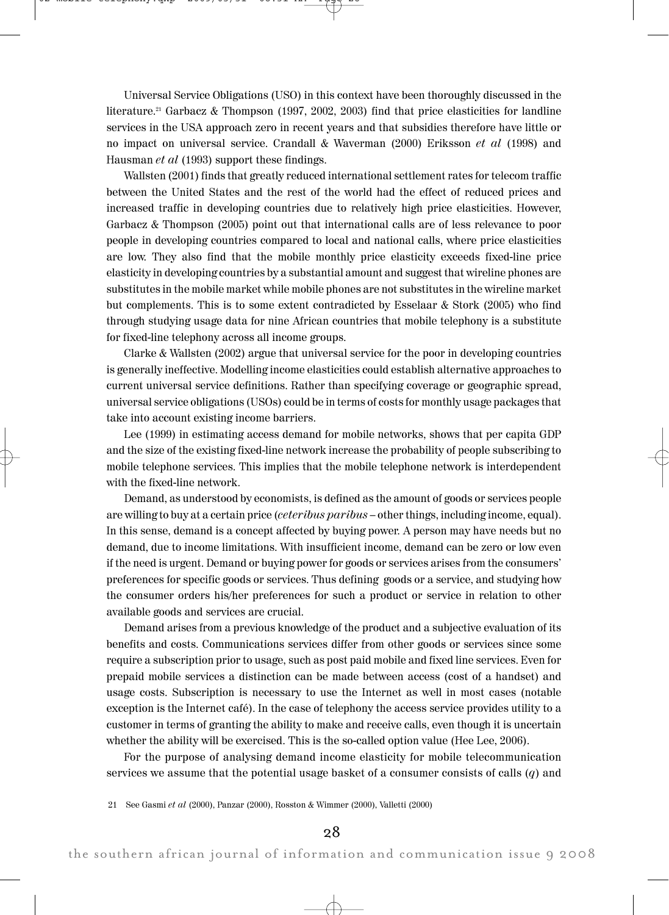Universal Service Obligations (USO) in this context have been thoroughly discussed in the literature. <sup>21</sup> Garbacz & Thompson (1997, 2002, 2003) find that price elasticities for landline services in the USA approach zero in recent years and that subsidies therefore have little or no impact on universal service. Crandall & Waverman (2000) Eriksson et al (1998) and Hausman et al (1993) support these findings.

Wallsten (2001) finds that greatly reduced international settlement rates for telecom traffic between the United States and the rest of the world had the effect of reduced prices and increased traffic in developing countries due to relatively high price elasticities. However, Garbacz & Thompson (2005) point out that international calls are of less relevance to poor people in developing countries compared to local and national calls, where price elasticities are low. They also find that the mobile monthly price elasticity exceeds fixed-line price elasticity in developing countries by a substantial amount and suggest that wireline phones are substitutes in the mobile market while mobile phones are not substitutes in the wireline market but complements. This is to some extent contradicted by Esselaar & Stork (2005) who find through studying usage data for nine African countries that mobile telephony is a substitute for fixed-line telephony across all income groups.

Clarke & Wallsten (2002) argue that universal service for the poor in developing countries is generally ineffective. Modelling income elasticities could establish alternative approaches to current universal service definitions. Rather than specifying coverage or geographic spread, universal service obligations (USOs) could be in terms of costs for monthly usage packages that take into account existing income barriers.

Lee (1999) in estimating access demand for mobile networks, shows that per capita GDP and the size of the existing fixed-line network increase the probability of people subscribing to mobile telephone services. This implies that the mobile telephone network is interdependent with the fixed-line network.

Demand, as understood by economists, is defined as the amount of goods or services people are willing to buy at a certain price *(ceteribus paribus –* other things, including income, equal). In this sense, demand is a concept affected by buying power. A person may have needs but no demand, due to income limitations. With insufficient income, demand can be zero or low even if the need is urgent. Demand or buying power for goods or services arises from the consumers' preferences for specific goods or services. Thus defining goods or a service, and studying how the consumer orders his/her preferences for such a product or service in relation to other available goods and services are crucial.

Demand arises from a previous knowledge of the product and a subjective evaluation of its benefits and costs. Communications services differ from other goods or services since some require a subscription prior to usage, such as post paid mobile and fixed line services. Even for prepaid mobile services a distinction can be made between access (cost of a handset) and usage costs. Subscription is necessary to use the Internet as well in most cases (notable exception is the Internet café). In the case of telephony the access service provides utility to a customer in terms of granting the ability to make and receive calls, even though it is uncertain whether the ability will be exercised. This is the so-called option value (Hee Lee, 2006).

For the purpose of analysing demand income elasticity for mobile telecommunication services we assume that the potential usage basket of a consumer consists of calls  $(q)$  and

<sup>21</sup> See Gasmi et al (2000), Panzar (2000), Rosston & Wimmer (2000), Valletti (2000)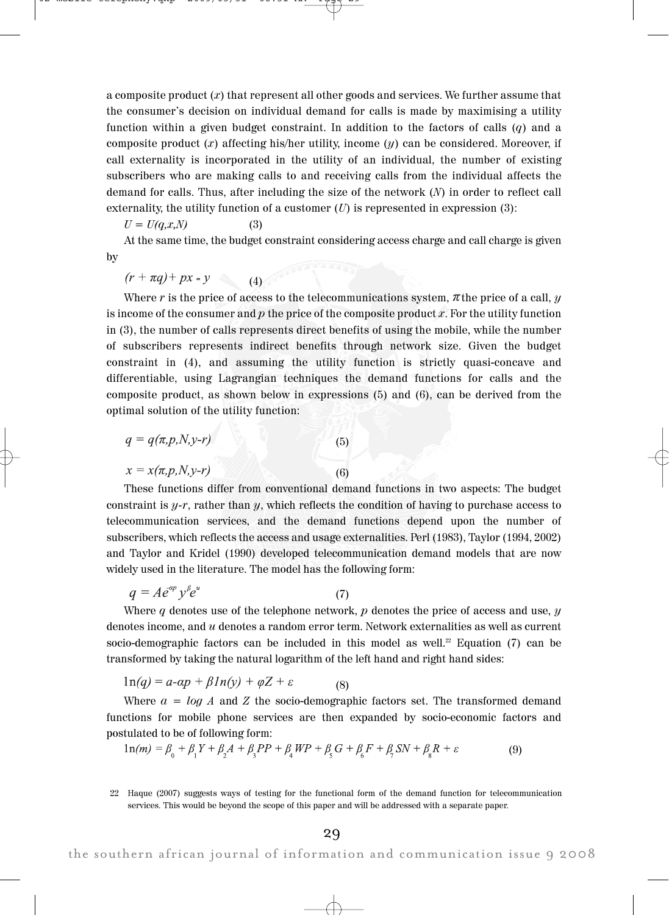a composite product  $(x)$  that represent all other goods and services. We further assume that the consumer's decision on individual demand for calls is made by maximising a utility function within a given budget constraint. In addition to the factors of calls  $(q)$  and a composite product  $(x)$  affecting his/her utility, income  $(y)$  can be considered. Moreover, if call externality is incorporated in the utility of an individual, the number of existing subscribers who are making calls to and receiving calls from the individual affects the demand for calls. Thus, after including the size of the network (N) in order to reflect call externality, the utility function of a customer  $(U)$  is represented in expression  $(3)$ :

 $U = U(q, x, N)$  (3)

At the same time, the budget constraint considering access charge and call charge is given by

 $(r + \pi q) + px = y$  $(4)$ 

Where r is the price of access to the telecommunications system,  $\pi$  the price of a call,  $\gamma$ is income of the consumer and  $p$  the price of the composite product  $x$ . For the utility function in (3), the number of calls represents direct benefits of using the mobile, while the number of subscribers represents indirect benefits through network size. Given the budget constraint in (4), and assuming the utility function is strictly quasi-concave and differentiable, using Lagrangian techniques the demand functions for calls and the composite product, as shown below in expressions (5) and (6), can be derived from the optimal solution of the utility function:

$$
q = q(\pi, p, N, y-r)
$$
  
\n
$$
x = x(\pi, p, N, y-r)
$$
\n(5)

These functions differ from conventional demand functions in two aspects: The budget constraint is  $y-r$ , rather than y, which reflects the condition of having to purchase access to telecommunication services, and the demand functions depend upon the number of subscribers, which reflects the access and usage externalities. Perl (1983), Taylor (1994, 2002) and Taylor and Kridel (1990) developed telecommunication demand models that are now widely used in the literature. The model has the following form:

$$
q = Ae^{\alpha p} y^{\beta} e^u \tag{7}
$$

Where q denotes use of the telephone network,  $p$  denotes the price of access and use,  $y$ denotes income, and  $u$  denotes a random error term. Network externalities as well as current socio-demographic factors can be included in this model as well.<sup>22</sup> Equation (7) can be transformed by taking the natural logarithm of the left hand and right hand sides:

$$
1n(q) = a \cdot \alpha p + \beta \cdot 1n(y) + \varphi Z + \varepsilon \tag{8}
$$

Where  $a = log A$  and Z the socio-demographic factors set. The transformed demand functions for mobile phone services are then expanded by socio-economic factors and postulated to be of following form:

$$
1n(m) = \beta_0 + \beta_1 Y + \beta_2 A + \beta_3 P P + \beta_4 W P + \beta_5 G + \beta_6 F + \beta_7 S N + \beta_8 R + \varepsilon
$$
 (9)

<sup>22</sup> Haque (2007) suggests ways of testing for the functional form of the demand function for telecommunication services. This would be beyond the scope of this paper and will be addressed with a separate paper.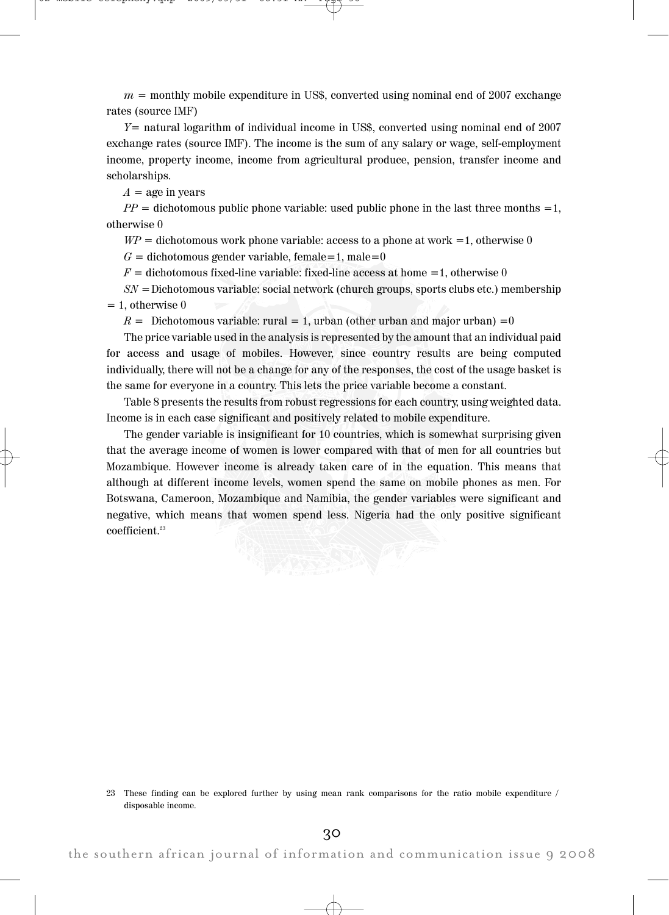$m =$  monthly mobile expenditure in US\$, converted using nominal end of 2007 exchange rates (source IMF)

 $Y=$  natural logarithm of individual income in US\$, converted using nominal end of 2007 exchange rates (source IMF). The income is the sum of any salary or wage, self-employment income, property income, income from agricultural produce, pension, transfer income and scholarships.

 $A =$ age in years

 $PP =$  dichotomous public phone variable: used public phone in the last three months =1, otherwise 0

 $WP =$  dichotomous work phone variable: access to a phone at work =1, otherwise 0

 $G =$  dichotomous gender variable, female=1, male=0

 $F =$  dichotomous fixed-line variable: fixed-line access at home =1, otherwise 0

 $SN =$ Dichotomous variable: social network (church groups, sports clubs etc.) membership  $= 1$ , otherwise 0

 $R =$  Dichotomous variable: rural = 1, urban (other urban and major urban) = 0

The price variable used in the analysis is represented by the amount that an individual paid for access and usage of mobiles. However, since country results are being computed individually, there will not be a change for any of the responses, the cost of the usage basket is the same for everyone in a country. This lets the price variable become a constant.

Table 8 presents the results from robust regressions for each country, using weighted data. Income is in each case significant and positively related to mobile expenditure.

The gender variable is insignificant for 10 countries, which is somewhat surprising given that the average income of women is lower compared with that of men for all countries but Mozambique. However income is already taken care of in the equation. This means that although at different income levels, women spend the same on mobile phones as men. For Botswana, Cameroon, Mozambique and Namibia, the gender variables were significant and negative, which means that women spend less. Nigeria had the only positive significant coefficient.<sup>23</sup>

<sup>23</sup> These finding can be explored further by using mean rank comparisons for the ratio mobile expenditure / disposable income.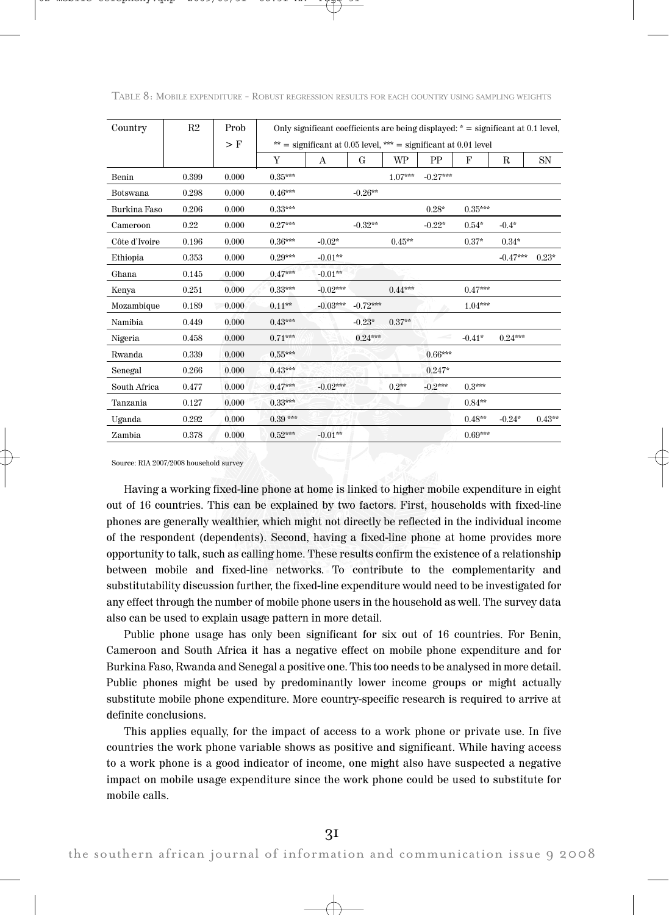| Country       | R2    | Prob  |           | Only significant coefficients are being displayed: $* =$ significant at 0.1 level, |            |           |            |           |            |           |  |
|---------------|-------|-------|-----------|------------------------------------------------------------------------------------|------------|-----------|------------|-----------|------------|-----------|--|
|               |       | $>$ F |           | ** = significant at 0.05 level, *** = significant at 0.01 level                    |            |           |            |           |            |           |  |
|               |       |       | Y         | А                                                                                  | G          | WP        | <b>PP</b>  | F         | R          | <b>SN</b> |  |
| Benin         | 0.399 | 0.000 | $0.35***$ |                                                                                    |            | $1.07***$ | $-0.27***$ |           |            |           |  |
| Botswana      | 0.298 | 0.000 | $0.46***$ |                                                                                    | $-0.26**$  |           |            |           |            |           |  |
| Burkina Faso  | 0.206 | 0.000 | $0.33***$ |                                                                                    |            |           | $0.28*$    | $0.35***$ |            |           |  |
| Cameroon      | 0.22  | 0.000 | $0.27***$ |                                                                                    | $-0.32**$  |           | $-0.22*$   | $0.54*$   | $-0.4*$    |           |  |
| Côte d'Ivoire | 0.196 | 0.000 | $0.36***$ | $-0.02*$                                                                           |            | $0.45**$  |            | $0.37*$   | $0.34*$    |           |  |
| Ethiopia      | 0.353 | 0.000 | $0.29***$ | $-0.01**$                                                                          |            |           |            |           | $-0.47***$ | $0.23*$   |  |
| Ghana         | 0.145 | 0.000 | $0.47***$ | $-0.01**$                                                                          |            |           |            |           |            |           |  |
| Kenya         | 0.251 | 0.000 | $0.33***$ | $-0.02***$                                                                         |            | $0.44***$ |            | $0.47***$ |            |           |  |
| Mozambique    | 0.189 | 0.000 | $0.11**$  | $-0.03***$                                                                         | $-0.72***$ |           |            | $1.04***$ |            |           |  |
| Namibia       | 0.449 | 0.000 | $0.43***$ |                                                                                    | $-0.23*$   | $0.37**$  |            |           |            |           |  |
| Nigeria       | 0.458 | 0.000 | $0.71***$ |                                                                                    | $0.24***$  |           |            | $-0.41*$  | $0.24***$  |           |  |
| Rwanda        | 0.339 | 0.000 | $0.55***$ |                                                                                    |            |           | $0.66***$  |           |            |           |  |
| Senegal       | 0.266 | 0.000 | $0.43***$ |                                                                                    |            |           | $0.247*$   |           |            |           |  |
| South Africa  | 0.477 | 0.000 | $0.47***$ | $-0.02***$                                                                         |            | $0.2**$   | $-0.2***$  | $0.3***$  |            |           |  |
| Tanzania      | 0.127 | 0.000 | $0.33***$ |                                                                                    |            |           |            | $0.84**$  |            |           |  |
| Uganda        | 0.292 | 0.000 | $0.39***$ |                                                                                    |            |           |            | $0.48**$  | $-0.24*$   | $0.43**$  |  |
| Zambia        | 0.378 | 0.000 | $0.52***$ | $-0.01**$                                                                          |            |           |            | $0.69***$ |            |           |  |

TABLE 8: MOBILE EXPENDITURE - ROBUST REGRESSION RESULTS FOR EACH COUNTRY USING SAMPLING WEIGHTS

Source: RIA 2007/2008 household survey

Having a working fixed-line phone at home is linked to higher mobile expenditure in eight out of 16 countries. This can be explained by two factors. First, households with fixed-line phones are generally wealthier, which might not directly be reflected in the individual income of the respondent (dependents). Second, having a fixed-line phone at home provides more opportunity to talk, such as calling home. These results confirm the existence of a relationship between mobile and fixed-line networks. To contribute to the complementarity and substitutability discussion further, the fixed-line expenditure would need to be investigated for any effect through the number of mobile phone users in the household as well. The survey data also can be used to explain usage pattern in more detail.

Public phone usage has only been significant for six out of 16 countries. For Benin, Cameroon and South Africa it has a negative effect on mobile phone expenditure and for Burkina Faso, Rwanda and Senegal a positive one. This too needs to be analysed in more detail. Public phones might be used by predominantly lower income groups or might actually substitute mobile phone expenditure. More country-specific research is required to arrive at definite conclusions.

This applies equally, for the impact of access to a work phone or private use. In five countries the work phone variable shows as positive and significant. While having access to a work phone is a good indicator of income, one might also have suspected a negative impact on mobile usage expenditure since the work phone could be used to substitute for mobile calls.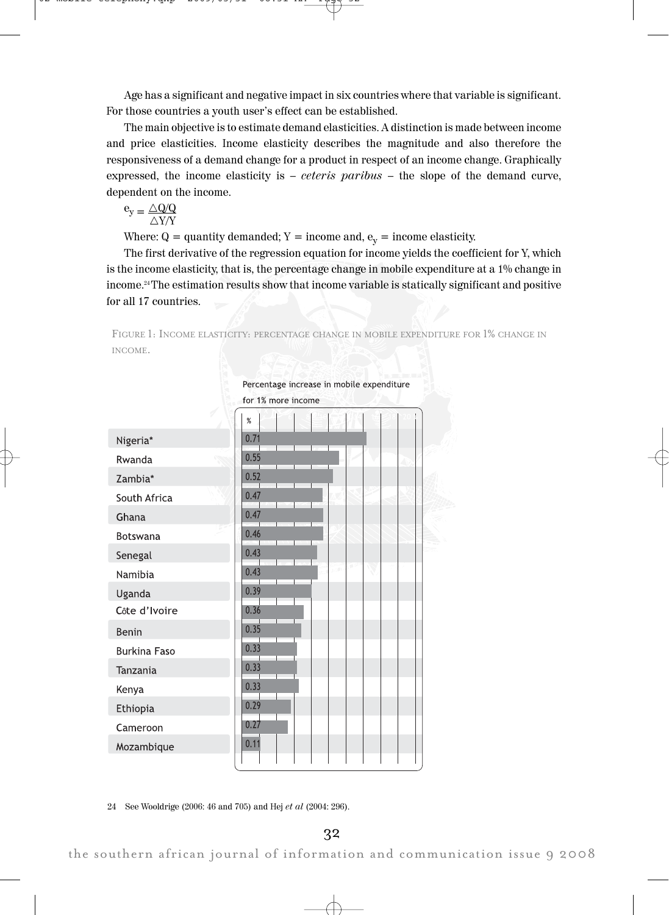Age has a significant and negative impact in six countries where that variable is significant. For those countries a youth user's effect can be established.

The main objective is to estimate demand elasticities. A distinction is made between income and price elasticities. Income elasticity describes the magnitude and also therefore the responsiveness of a demand change for a product in respect of an income change. Graphically expressed, the income elasticity is  $-$  *ceteris paribus*  $-$  the slope of the demand curve, dependent on the income.

$$
e_y = \frac{\triangle Q/Q}{\triangle Y/Y}
$$

Where:  $Q =$  quantity demanded;  $Y =$  income and,  $e_y =$  income elasticity.

The first derivative of the regression equation for income yields the coefficient for Y, which is the income elasticity, that is, the percentage change in mobile expenditure at a 1% change in income.24 The estimation results show that income variable is statically significant and positive for all 17 countries.

FIGURE 1: INCOME ELASTICITY: PERCENTAGE CHANGE IN MOBILE EXPENDITURE FOR 1% CHANGE IN INCOME.



24 See Wooldrige (2006: 46 and 705) and Hej et al (2004: 296).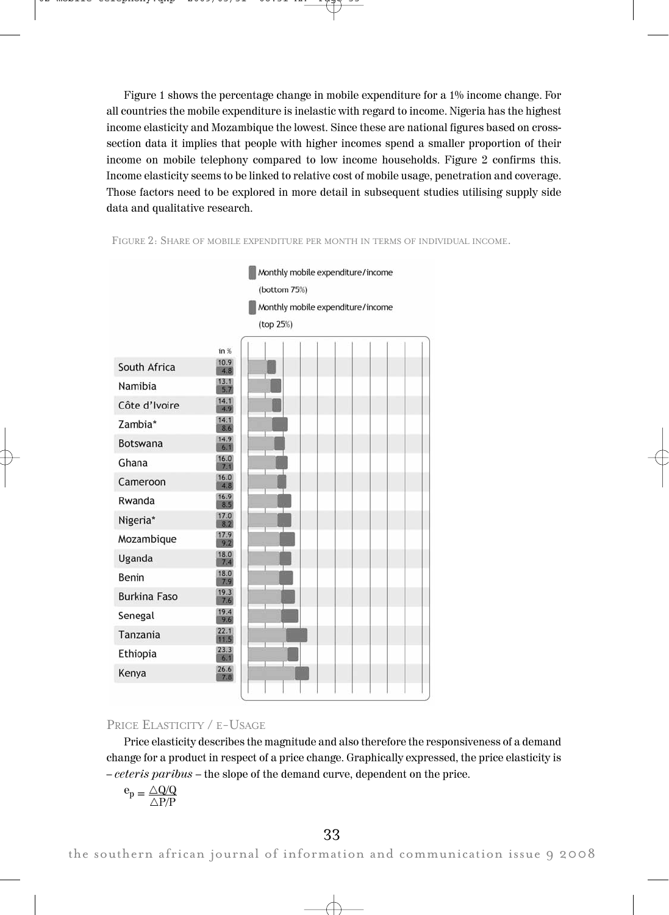Figure 1 shows the percentage change in mobile expenditure for a 1% income change. For all countries the mobile expenditure is inelastic with regard to income. Nigeria has the highest income elasticity and Mozambique the lowest. Since these are national figures based on crosssection data it implies that people with higher incomes spend a smaller proportion of their income on mobile telephony compared to low income households. Figure 2 confirms this. Income elasticity seems to be linked to relative cost of mobile usage, penetration and coverage. Those factors need to be explored in more detail in subsequent studies utilising supply side data and qualitative research.



FIGURE 2: SHARE OF MOBILE EXPENDITURE PER MONTH IN TERMS OF INDIVIDUAL INCOME.

# PRICE ELASTICITY / E-USAGE

Price elasticity describes the magnitude and also therefore the responsiveness of a demand change for a product in respect of a price change. Graphically expressed, the price elasticity is – ceteris paribus – the slope of the demand curve, dependent on the price.

$$
e_p = \frac{\triangle Q/Q}{\triangle P/P}
$$

the southern african journal of information and communication issue 9 2008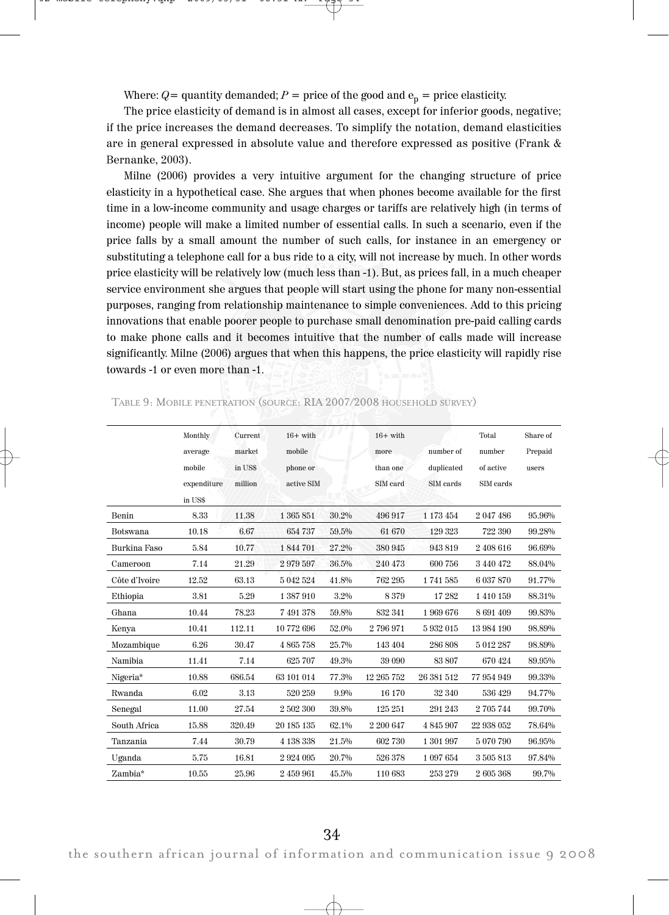Where:  $Q=$  quantity demanded;  $P=$  price of the good and  $e_p=$  price elasticity.

The price elasticity of demand is in almost all cases, except for inferior goods, negative; if the price increases the demand decreases. To simplify the notation, demand elasticities are in general expressed in absolute value and therefore expressed as positive (Frank & Bernanke, 2003).

Milne (2006) provides a very intuitive argument for the changing structure of price elasticity in a hypothetical case. She argues that when phones become available for the first time in a low-income community and usage charges or tariffs are relatively high (in terms of income) people will make a limited number of essential calls. In such a scenario, even if the price falls by a small amount the number of such calls, for instance in an emergency or substituting a telephone call for a bus ride to a city, will not increase by much. In other words price elasticity will be relatively low (much less than -1). But, as prices fall, in a much cheaper service environment she argues that people will start using the phone for many non-essential purposes, ranging from relationship maintenance to simple conveniences. Add to this pricing innovations that enable poorer people to purchase small denomination pre-paid calling cards to make phone calls and it becomes intuitive that the number of calls made will increase significantly. Milne (2006) argues that when this happens, the price elasticity will rapidly rise towards -1 or even more than -1.

|               | Monthly     | Current | $16+$ with |       | $16+$ with |            | Total      | Share of |
|---------------|-------------|---------|------------|-------|------------|------------|------------|----------|
|               | average     | market  | mobile     |       | more       | number of  | number     | Prepaid  |
|               | mobile      | in US\$ | phone or   |       | than one   | duplicated | of active  | users    |
|               | expenditure | million | active SIM |       | SIM card   | SIM cards  | SIM cards  |          |
|               | in US\$     |         |            |       |            |            |            |          |
| Benin         | 8.33        | 11.38   | 1 365 851  | 30.2% | 496 917    | 1 173 454  | 2 047 486  | 95.96%   |
| Botswana      | 10.18       | 6.67    | 654 737    | 59.5% | 61 670     | 129 323    | 722 390    | 99.28%   |
| Burkina Faso  | 5.84        | 10.77   | 1844701    | 27.2% | 380 945    | 943819     | 2 408 616  | 96.69%   |
| Cameroon      | 7.14        | 21.29   | 2979597    | 36.5% | 240 473    | 600 756    | 3 440 472  | 88.04%   |
| Côte d'Ivoire | 12.52       | 63.13   | 5 042 524  | 41.8% | 762 295    | 1741585    | 6 037 870  | 91.77%   |
| Ethiopia      | 3.81        | 5.29    | 1387910    | 3.2%  | 8379       | 17282      | 1410159    | 88.31%   |
| Ghana         | 10.44       | 78.23   | 7 491 378  | 59.8% | 832 341    | 1969676    | 8691409    | 99.83%   |
| Kenya         | 10.41       | 112.11  | 10772696   | 52.0% | 2796971    | 5932015    | 13 984 190 | 98.89%   |
| Mozambique    | 6.26        | 30.47   | 4865758    | 25.7% | 143 404    | 286 808    | 5 012 287  | 98.89%   |
| Namibia       | 11.41       | 7.14    | 625 707    | 49.3% | 39 090     | 83 807     | 670 424    | 89.95%   |
| Nigeria*      | 10.88       | 686.54  | 63 101 014 | 77.3% | 12 265 752 | 26 381 512 | 77 954 949 | 99.33%   |
| <b>Rwanda</b> | 6.02        | 3.13    | 520 259    | 9.9%  | 16 170     | 32 340     | 536 429    | 94.77%   |
| Senegal       | 11.00       | 27.54   | 2 502 300  | 39.8% | 125 251    | 291 243    | 2705744    | 99.70%   |
| South Africa  | 15.88       | 320.49  | 20 185 135 | 62.1% | 2 200 647  | 4845907    | 22 938 052 | 78.64%   |
| Tanzania      | 7.44        | 30.79   | 4 138 338  | 21.5% | 602 730    | 1 301 997  | 5070790    | 96.95%   |
| Uganda        | 5.75        | 16.81   | 2924095    | 20.7% | 526 378    | 1 097 654  | 3505813    | 97.84%   |
| Zambia*       | 10.55       | 25.96   | 2 459 961  | 45.5% | 110 683    | 253 279    | 2605368    | 99.7%    |

TABLE 9: MOBILE PENETRATION (SOURCE: RIA 2007/2008 HOUSEHOLD SURVEY)

34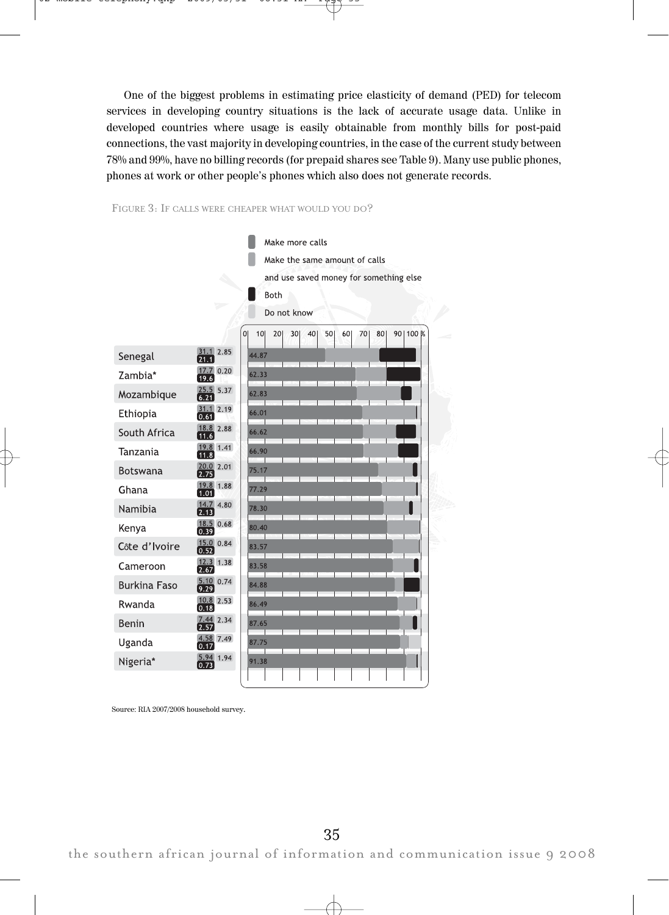One of the biggest problems in estimating price elasticity of demand (PED) for telecom services in developing country situations is the lack of accurate usage data. Unlike in developed countries where usage is easily obtainable from monthly bills for post-paid connections, the vast majority in developing countries, in the case of the current study between 78% and 99%, have no billing records (for prepaid shares see Table 9). Many use public phones, phones at work or other people's phones which also does not generate records.





Source: RIA 2007/2008 household survey.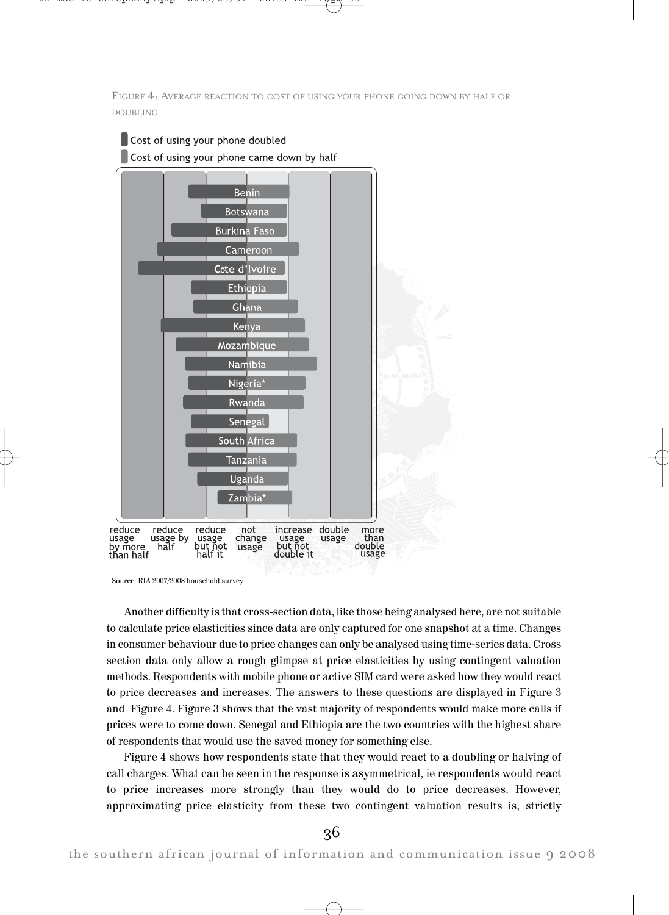FIGURE 4: AVERAGE REACTION TO COST OF USING YOUR PHONE GOING DOWN BY HALF OR DOUBLING



Source: RIA 2007/2008 household survey

Another difficulty is that cross-section data, like those being analysed here, are not suitable to calculate price elasticities since data are only captured for one snapshot at a time. Changes in consumer behaviour due to price changes can only be analysed using time-series data. Cross section data only allow a rough glimpse at price elasticities by using contingent valuation methods. Respondents with mobile phone or active SIM card were asked how they would react to price decreases and increases. The answers to these questions are displayed in Figure 3 and Figure 4. Figure 3 shows that the vast majority of respondents would make more calls if prices were to come down. Senegal and Ethiopia are the two countries with the highest share of respondents that would use the saved money for something else.

Figure 4 shows how respondents state that they would react to a doubling or halving of call charges. What can be seen in the response is asymmetrical, ie respondents would react to price increases more strongly than they would do to price decreases. However, approximating price elasticity from these two contingent valuation results is, strictly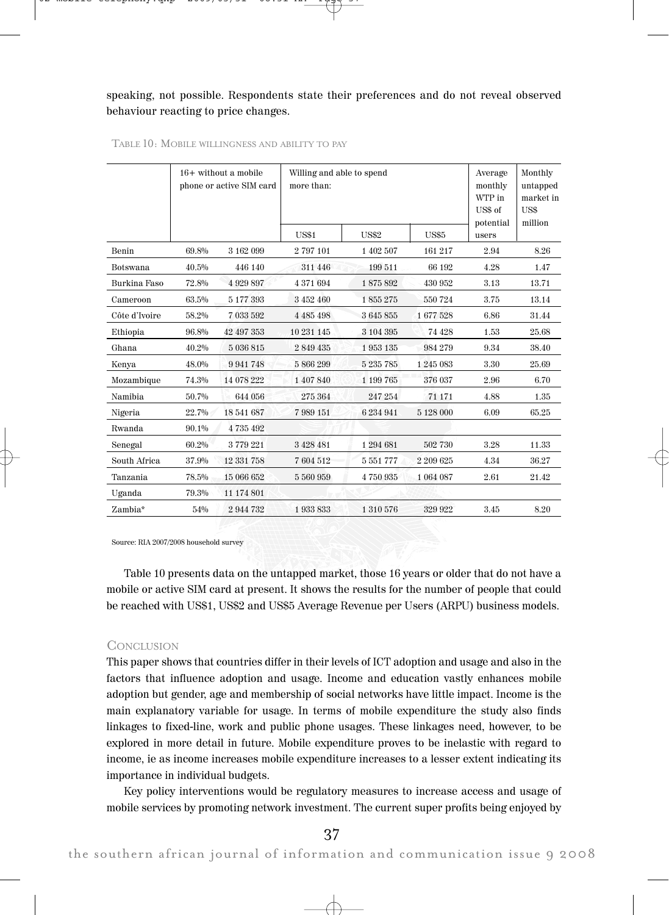## speaking, not possible. Respondents state their preferences and do not reveal observed behaviour reacting to price changes.

|                 |       | $16+$ without a mobile<br>phone or active SIM card | Willing and able to spend<br>more than: | Average<br>monthly<br>WTP in<br>US\$ of<br>potential | Monthly<br>untapped<br>market in<br>US\$<br>million |       |       |
|-----------------|-------|----------------------------------------------------|-----------------------------------------|------------------------------------------------------|-----------------------------------------------------|-------|-------|
|                 |       |                                                    | <b>US\$1</b>                            | <b>US\$2</b>                                         | <b>US\$5</b>                                        | users |       |
| Benin           | 69.8% | 3 162 099                                          | 2797101                                 | 1 402 507                                            | 161 217                                             | 2.94  | 8.26  |
| <b>Botswana</b> | 40.5% | 446 140                                            | 311 446                                 | 199 511                                              | 66 192                                              | 4.28  | 1.47  |
| Burkina Faso    | 72.8% | 4 9 29 8 9 7                                       | 4 371 694                               | 1875892                                              | 430 952                                             | 3.13  | 13.71 |
| Cameroon        | 63.5% | 5 177 393                                          | 3 452 460                               | 1855275                                              | 550724                                              | 3.75  | 13.14 |
| Côte d'Ivoire   | 58.2% | 7 033 592                                          | 4 4 8 5 4 9 8                           | 3645855                                              | 1677528                                             | 6.86  | 31.44 |
| Ethiopia        | 96.8% | 42 497 353                                         | 10 231 145                              | 3 104 395                                            | 74 428                                              | 1.53  | 25.68 |
| Ghana           | 40.2% | 5 036 815                                          | 2 849 435                               | 1953135                                              | 984 279                                             | 9.34  | 38.40 |
| Kenya           | 48.0% | 9941748                                            | 5866299                                 | 5 235 785                                            | 1245083                                             | 3.30  | 25.69 |
| Mozambique      | 74.3% | 14 078 222                                         | 1 407 840                               | 1 199 765                                            | 376 037                                             | 2.96  | 6.70  |
| Namibia         | 50.7% | 644 056                                            | 275 364                                 | 247 254                                              | 71 171                                              | 4.88  | 1.35  |
| Nigeria         | 22.7% | 18 541 687                                         | 7989151                                 | 6 234 941                                            | 5 128 000                                           | 6.09  | 65.25 |
| Rwanda          | 90.1% | 4735492                                            |                                         |                                                      |                                                     |       |       |
| Senegal         | 60.2% | 3779221                                            | 3428481                                 | 1294681                                              | 502 730                                             | 3.28  | 11.33 |
| South Africa    | 37.9% | 12 331 758                                         | 7604512                                 | 5 551 777                                            | 2 209 625                                           | 4.34  | 36.27 |
| Tanzania        | 78.5% | 15 066 652                                         | 5 560 959                               | 4750935                                              | 1 064 087                                           | 2.61  | 21.42 |
| Uganda          | 79.3% | 11 174 801                                         |                                         |                                                      |                                                     |       |       |
| Zambia*         | 54%   | 2944732                                            | 1 933 833                               | 1 310 576                                            | 329 922                                             | 3.45  | 8.20  |

## TABLE 10: MOBILE WILLINGNESS AND ABILITY TO PAY

Source: RIA 2007/2008 household survey

Table 10 presents data on the untapped market, those 16 years or older that do not have a mobile or active SIM card at present. It shows the results for the number of people that could be reached with US\$1, US\$2 and US\$5 Average Revenue per Users (ARPU) business models.

#### **CONCLUSION**

This paper shows that countries differ in their levels of ICT adoption and usage and also in the factors that influence adoption and usage. Income and education vastly enhances mobile adoption but gender, age and membership of social networks have little impact. Income is the main explanatory variable for usage. In terms of mobile expenditure the study also finds linkages to fixed-line, work and public phone usages. These linkages need, however, to be explored in more detail in future. Mobile expenditure proves to be inelastic with regard to income, ie as income increases mobile expenditure increases to a lesser extent indicating its importance in individual budgets.

Key policy interventions would be regulatory measures to increase access and usage of mobile services by promoting network investment. The current super profits being enjoyed by

37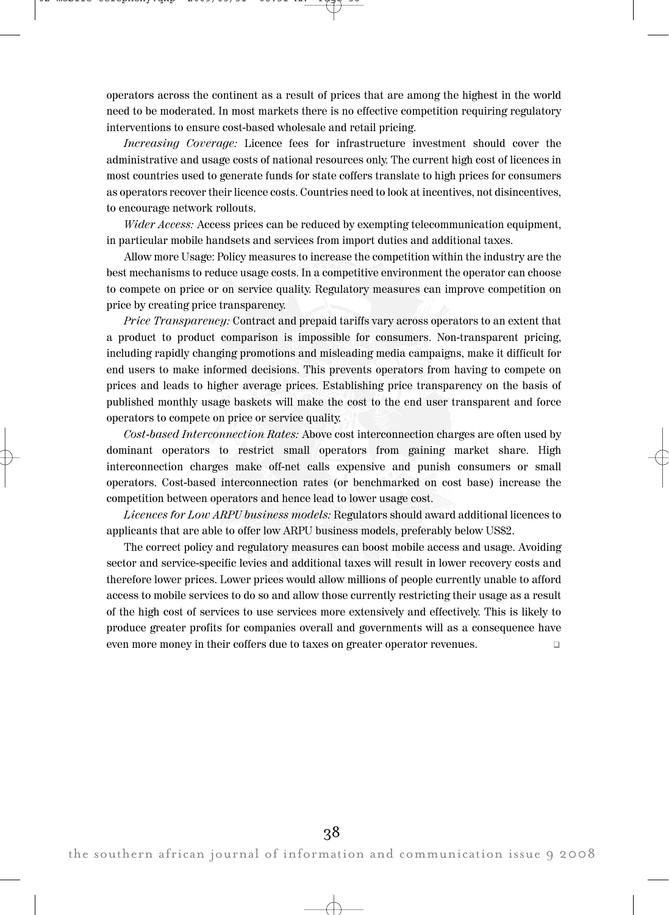operators across the continent as a result of prices that are among the highest in the world need to be moderated. In most markets there is no effective competition requiring regulatory interventions to ensure cost-based wholesale and retail pricing.

Increasing Coverage: Licence fees for infrastructure investment should cover the administrative and usage costs of national resources only. The current high cost of licences in most countries used to generate funds for state coffers translate to high prices for consumers as operators recover their licence costs. Countries need to look at incentives, not disincentives, to encourage network rollouts.

Wider Access: Access prices can be reduced by exempting telecommunication equipment, in particular mobile handsets and services from import duties and additional taxes.

Allow more Usage: Policy measures to increase the competition within the industry are the best mechanisms to reduce usage costs. In a competitive environment the operator can choose to compete on price or on service quality. Regulatory measures can improve competition on price by creating price transparency.

Price Transparency: Contract and prepaid tariffs vary across operators to an extent that a product to product comparison is impossible for consumers. Non-transparent pricing, including rapidly changing promotions and misleading media campaigns, make it difficult for end users to make informed decisions. This prevents operators from having to compete on prices and leads to higher average prices. Establishing price transparency on the basis of published monthly usage baskets will make the cost to the end user transparent and force operators to compete on price or service quality.

Cost-based Interconnection Rates: Above cost interconnection charges are often used by dominant operators to restrict small operators from gaining market share. High interconnection charges make off-net calls expensive and punish consumers or small operators. Cost-based interconnection rates (or benchmarked on cost base) increase the competition between operators and hence lead to lower usage cost.

Licences for Low ARPU business models: Regulators should award additional licences to applicants that are able to offer low ARPU business models, preferably below US\$2.

The correct policy and regulatory measures can boost mobile access and usage. Avoiding sector and service-specific levies and additional taxes will result in lower recovery costs and therefore lower prices. Lower prices would allow millions of people currently unable to afford access to mobile services to do so and allow those currently restricting their usage as a result of the high cost of services to use services more extensively and effectively. This is likely to produce greater profits for companies overall and governments will as a consequence have even more money in their coffers due to taxes on greater operator revenues. "

the southern african journal of information and communication issue 9 2008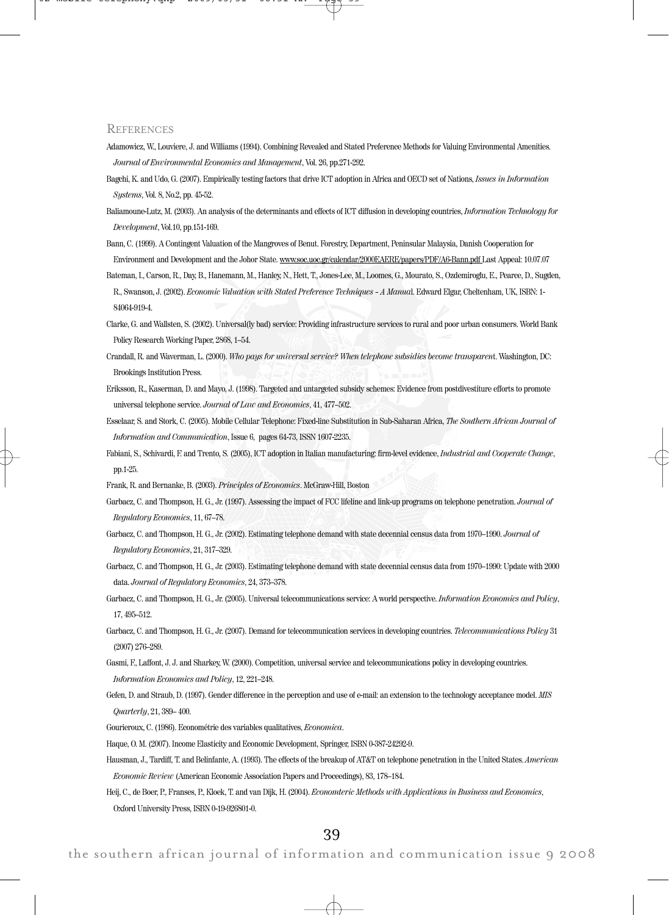#### **REFERENCES**

- Adamowicz, W., Louviere, J. and Williams (1994). Combining Revealed and Stated Preference Methods for Valuing Environmental Amenities. Journal of Environmental Economics and Management, Vol. 26, pp.271-292.
- Bagchi, K. and Udo, G. (2007). Empirically testing factors that drive ICT adoption in Africa and OECD set of Nations, Issues in Information Systems, Vol. 8, No.2, pp. 45-52.
- Baliamoune-Lutz, M. (2003). An analysis of the determinants and effects of ICT diffusion in developing countries, Information Technology for Development, Vol.10, pp.151-169.
- Bann, C. (1999). A Contingent Valuation of the Mangroves of Benut. Forestry, Department, Peninsular Malaysia, Danish Cooperation for Environment and Development and the Johor State. www.soc.uoc.gr/calendar/2000EAERE/papers/PDF/A6-Bann.pdf Last Appeal: 10.07.07
- Bateman, I., Carson, R., Day, B., Hanemann, M., Hanley, N., Hett, T., Jones-Lee, M., Loomes, G., Mourato, S., Ozdemiroglu, E., Pearce, D., Sugden, R., Swanson, J. (2002). Economic Valuation with Stated Preference Techniques – A Manual. Edward Elgar, Cheltenham, UK, ISBN: 1- 84064-919-4.
- Clarke, G. and Wallsten, S. (2002). Universal(ly bad) service: Providing infrastructure services to rural and poor urban consumers. World Bank Policy Research Working Paper, 2868, 1–54.
- Crandall, R. and Waverman, L. (2000). Who pays for universal service? When telephone subsidies become transparent. Washington, DC: Brookings Institution Press.
- Eriksson, R., Kaserman, D. and Mayo, J. (1998). Targeted and untargeted subsidy schemes: Evidence from postdivestiture efforts to promote universal telephone service. Journal of Law and Economics, 41, 477–502.
- Esselaar, S. and Stork, C. (2005). Mobile Cellular Telephone: Fixed-line Substitution in Sub-Saharan Africa, The Southern African Journal of Information and Communication, Issue 6, pages 64-73, ISSN 1607-2235.
- Fabiani, S., Schivardi, F. and Trento, S. (2005), ICT adoption in Italian manufacturing: firm-level evidence, *Industrial and Cooperate Change*, pp.1-25.

Frank, R. and Bernanke, B. (2003). Principles of Economics. McGraw-Hill, Boston

- Garbacz, C. and Thompson, H. G., Jr. (1997). Assessing the impact of FCC lifeline and link-up programs on telephone penetration. Journal of Regulatory Economics, 11, 67–78.
- Garbacz, C. and Thompson, H. G., Jr. (2002). Estimating telephone demand with state decennial census data from 1970–1990. Journal of Regulatory Economics, 21, 317–329.
- Garbacz, C. and Thompson, H. G., Jr. (2003). Estimating telephone demand with state decennial census data from 1970–1990: Update with 2000 data. Journal of Regulatory Economics, 24, 373–378.
- Garbacz, C. and Thompson, H. G., Jr. (2005). Universal telecommunications service: A world perspective. Information Economics and Policy, 17, 495–512.
- Garbacz, C. and Thompson, H. G., Jr. (2007). Demand for telecommunication services in developing countries. Telecommunications Policy 31 (2007) 276–289.
- Gasmi, F., Laffont, J. J. and Sharkey, W. (2000). Competition, universal service and telecommunications policy in developing countries. Information Economics and Policy, 12, 221–248.
- Gefen, D. and Straub, D. (1997). Gender difference in the perception and use of e-mail: an extension to the technology acceptance model. MIS Quarterly, 21, 389– 400.

Gourieroux, C. (1986). Econométrie des variables qualitatives, Economica.

Haque, O. M. (2007). Income Elasticity and Economic Development, Springer, ISBN 0-387-24292-9.

Hausman, J., Tardiff, T. and Belinfante, A. (1993). The effects of the breakup of AT&T on telephone penetration in the United States. American Economic Review (American Economic Association Papers and Proceedings), 83, 178–184.

Heij, C., de Boer, P., Franses, P., Kloek, T. and van Dijk, H. (2004). Economteric Methods with Applications in Business and Economics, Oxford University Press, ISBN 0-19-926801-0.

39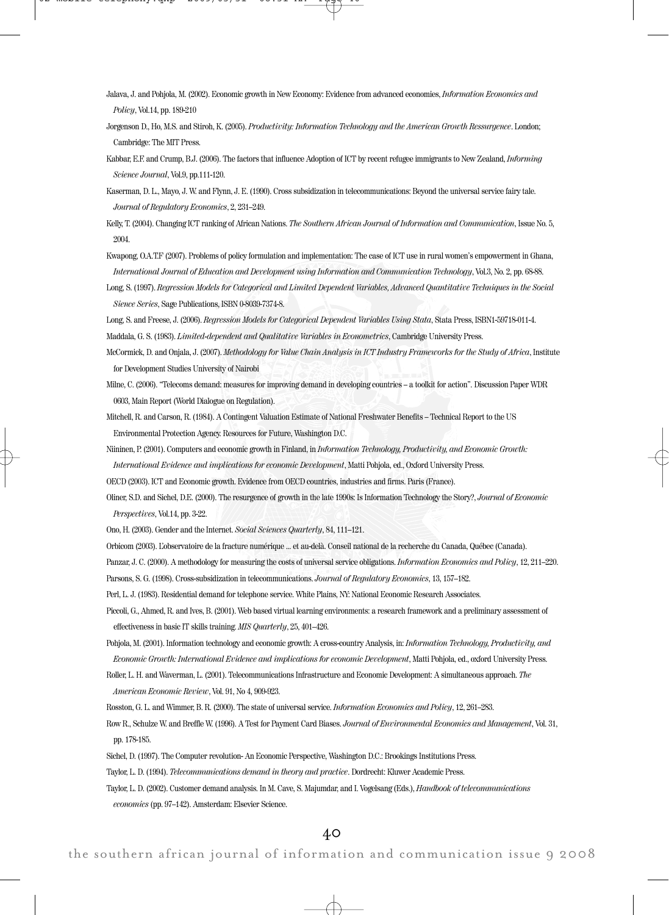- Jalava, J. and Pohjola, M. (2002). Economic growth in New Economy: Evidence from advanced economies, Information Economics and Policy, Vol.14, pp. 189-210
- Jorgenson D., Ho, M.S. and Stiroh, K. (2005). Productivity: Information Technology and the American Growth Ressurgence. London; Cambridge: The MIT Press.
- Kabbar, E.F. and Crump, B.J. (2006). The factors that influence Adoption of ICT by recent refugee immigrants to New Zealand, Informing Science Journal, Vol.9, pp.111-120.
- Kaserman, D. L., Mayo, J. W. and Flynn, J. E. (1990). Cross subsidization in telecommunications: Beyond the universal service fairy tale. Journal of Regulatory Economics, 2, 231–249.
- Kelly, T. (2004). Changing ICT ranking of African Nations. The Southern African Journal of Information and Communication, Issue No. 5, 2004.
- Kwapong, O.A.T.F (2007). Problems of policy formulation and implementation: The case of ICT use in rural women's empowerment in Ghana, International Journal of Education and Development using Information and Communication Technology, Vol.3, No. 2, pp. 68-88.
- Long, S. (1997). Regression Models for Categorical and Limited Dependent Variables, Advanced Quantitative Techniques in the Social Sience Series, Sage Publications, ISBN 0-8039-7374-8.

Long, S. and Freese, J. (2006). Regression Models for Categorical Dependent Variables Using Stata, Stata Press, ISBN1-59718-011-4. Maddala, G. S. (1983). Limited-dependent and Qualitative Variables in Econometrics, Cambridge University Press.

- McCormick, D. and Onjala, J. (2007). Methodology for Value Chain Analysis in ICT Industry Frameworks for the Study of Africa, Institute for Development Studies University of Nairobi
- Milne, C. (2006). "Telecoms demand: measures for improving demand in developing countries a toolkit for action". Discussion Paper WDR 0603, Main Report (World Dialogue on Regulation).

Mitchell, R. and Carson, R. (1984). A Contingent Valuation Estimate of National Freshwater Benefits – Technical Report to the US Environmental Protection Agency. Resources for Future, Washington D.C.

- Niininen, P. (2001). Computers and economic growth in Finland, in Information Technology, Productivity, and Economic Growth: International Evidence and implications for economic Development, Matti Pohjola, ed., Oxford University Press.
- 
- OECD (2003). ICT and Economic growth. Evidence from OECD countries, industries and firms. Paris (France).

Oliner, S.D. and Sichel, D.E. (2000). The resurgence of growth in the late 1990s: Is Information Technology the Story?, Journal of Economic Perspectives, Vol.14, pp. 3-22.

Ono, H. (2003). Gender and the Internet. Social Sciences Quarterly, 84, 111–121.

- Orbicom (2003). L'observatoire de la fracture numérique ... et au-delà. Conseil national de la recherche du Canada, Québec (Canada).
- Panzar, J. C. (2000). A methodology for measuring the costs of universal service obligations. Information Economics and Policy, 12, 211-220.
- Parsons, S. G. (1998). Cross-subsidization in telecommunications. Journal of Regulatory Economics, 13, 157–182.
- Perl, L. J. (1983). Residential demand for telephone service. White Plains, NY: National Economic Research Associates.
- Piccoli, G., Ahmed, R. and Ives, B. (2001). Web based virtual learning environments: a research framework and a preliminary assessment of effectiveness in basic IT skills training. MIS Quarterly, 25, 401–426.
- Pohjola, M. (2001). Information technology and economic growth: A cross-country Analysis, in: Information Technology, Productivity, and Economic Growth: International Evidence and implications for economic Development, Matti Pohjola, ed., oxford University Press.
- Roller, L. H. and Waverman, L. (2001). Telecommunications Infrastructure and Economic Development: A simultaneous approach. The American Economic Review, Vol. 91, No 4, 909-923.
- Rosston, G. L. and Wimmer, B. R. (2000). The state of universal service. Information Economics and Policy, 12, 261–283.
- Row R., Schulze W. and Breffle W. (1996). A Test for Payment Card Biases. Journal of Environmental Economics and Management, Vol. 31, pp. 178-185.
- Sichel, D. (1997). The Computer revolution- An Economic Perspective, Washington D.C.: Brookings Institutions Press.
- Taylor, L. D. (1994). Telecommunications demand in theory and practice. Dordrecht: Kluwer Academic Press.
- Taylor, L. D. (2002). Customer demand analysis. In M. Cave, S. Majumdar, and I. Vogelsang (Eds.), Handbook of telecommunications economics (pp. 97–142). Amsterdam: Elsevier Science.

40